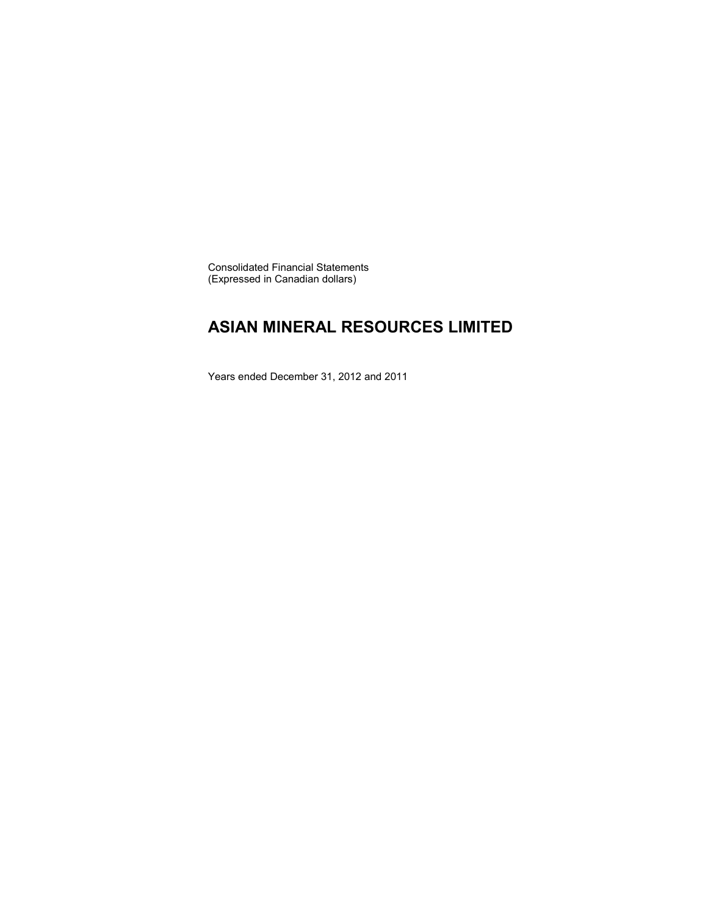Consolidated Financial Statements (Expressed in Canadian dollars)

### **ASIAN MINERAL RESOURCES LIMITED**

Years ended December 31, 2012 and 2011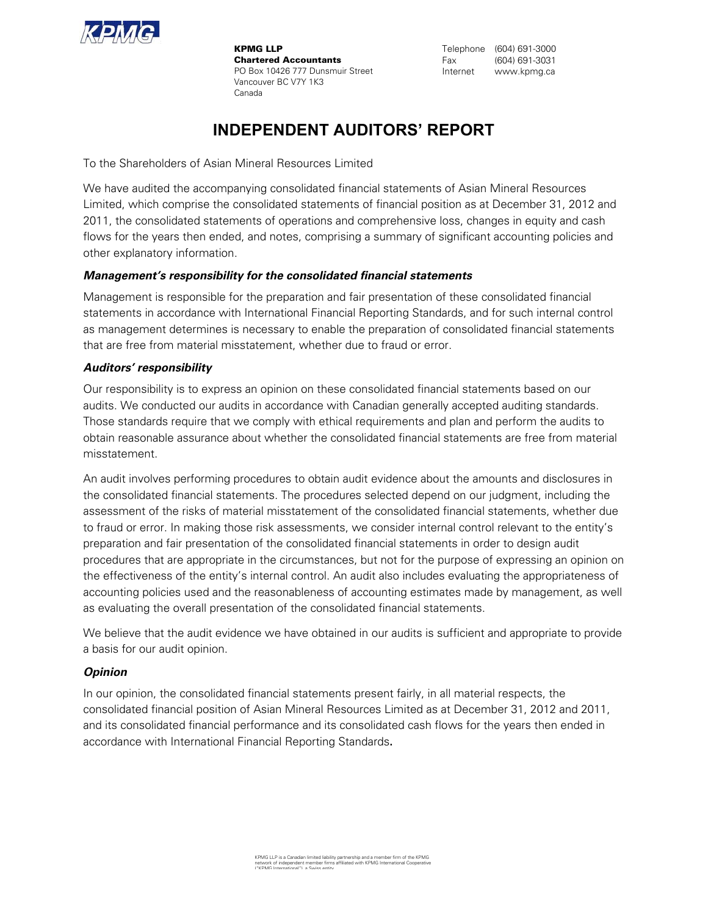

KPMG LLP Chartered Accountants PO Box 10426 777 Dunsmuir Street Vancouver BC V7Y 1K3 Canada

Telephone (604) 691-3000 Fax (604) 691-3031 Internet www.kpmg.ca

### **INDEPENDENT AUDITORS' REPORT**

To the Shareholders of Asian Mineral Resources Limited

We have audited the accompanying consolidated financial statements of Asian Mineral Resources Limited, which comprise the consolidated statements of financial position as at December 31, 2012 and 2011, the consolidated statements of operations and comprehensive loss, changes in equity and cash flows for the years then ended, and notes, comprising a summary of significant accounting policies and other explanatory information.

### **Management's responsibility for the consolidated financial statements**

Management is responsible for the preparation and fair presentation of these consolidated financial statements in accordance with International Financial Reporting Standards, and for such internal control as management determines is necessary to enable the preparation of consolidated financial statements that are free from material misstatement, whether due to fraud or error.

### **Auditors' responsibility**

Our responsibility is to express an opinion on these consolidated financial statements based on our audits. We conducted our audits in accordance with Canadian generally accepted auditing standards. Those standards require that we comply with ethical requirements and plan and perform the audits to obtain reasonable assurance about whether the consolidated financial statements are free from material misstatement.

An audit involves performing procedures to obtain audit evidence about the amounts and disclosures in the consolidated financial statements. The procedures selected depend on our judgment, including the assessment of the risks of material misstatement of the consolidated financial statements, whether due to fraud or error. In making those risk assessments, we consider internal control relevant to the entity's preparation and fair presentation of the consolidated financial statements in order to design audit procedures that are appropriate in the circumstances, but not for the purpose of expressing an opinion on the effectiveness of the entity's internal control. An audit also includes evaluating the appropriateness of accounting policies used and the reasonableness of accounting estimates made by management, as well as evaluating the overall presentation of the consolidated financial statements.

We believe that the audit evidence we have obtained in our audits is sufficient and appropriate to provide a basis for our audit opinion.

### **Opinion**

In our opinion, the consolidated financial statements present fairly, in all material respects, the consolidated financial position of Asian Mineral Resources Limited as at December 31, 2012 and 2011, and its consolidated financial performance and its consolidated cash flows for the years then ended in accordance with International Financial Reporting Standards**.**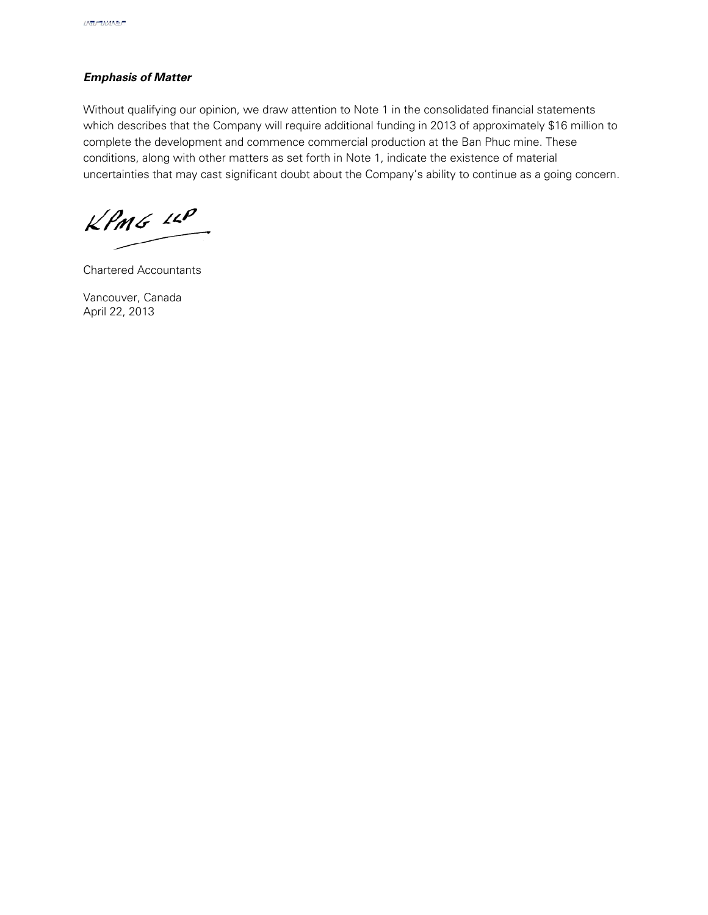### **Emphasis of Matter**

Without qualifying our opinion, we draw attention to Note 1 in the consolidated financial statements which describes that the Company will require additional funding in 2013 of approximately \$16 million to complete the development and commence commercial production at the Ban Phuc mine. These conditions, along with other matters as set forth in Note 1, indicate the existence of material uncertainties that may cast significant doubt about the Company's ability to continue as a going concern.

 $KPMG$  11P

Chartered Accountants

Vancouver, Canada April 22, 2013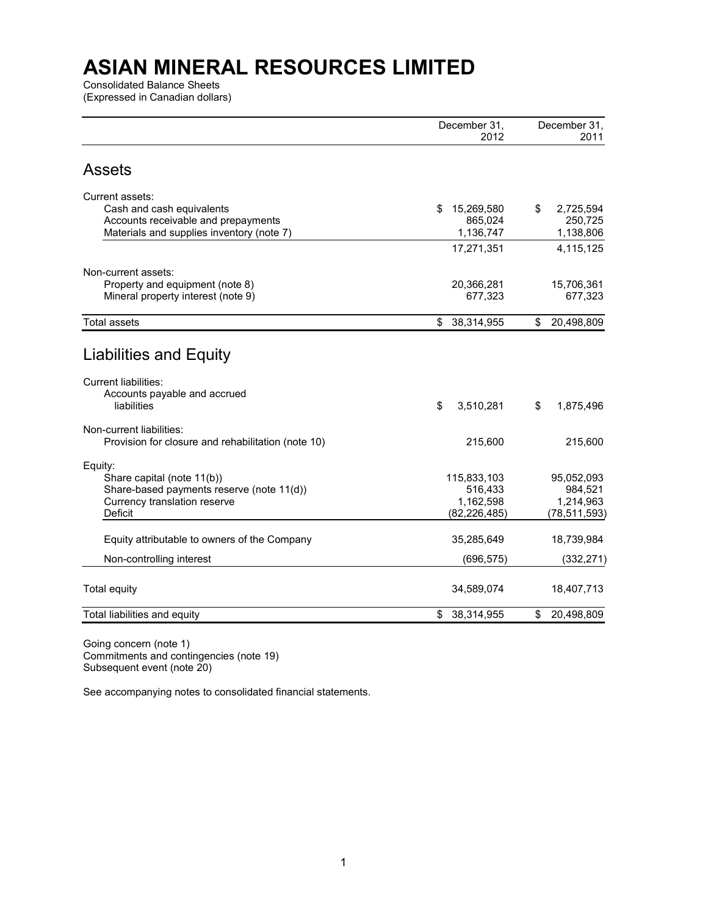Consolidated Balance Sheets (Expressed in Canadian dollars)

|                                                                                                                               | December 31,<br>2012                                  | December 31,<br>2011                                 |  |
|-------------------------------------------------------------------------------------------------------------------------------|-------------------------------------------------------|------------------------------------------------------|--|
| <b>Assets</b>                                                                                                                 |                                                       |                                                      |  |
| Current assets:                                                                                                               |                                                       |                                                      |  |
| Cash and cash equivalents<br>Accounts receivable and prepayments                                                              | \$<br>15,269,580<br>865,024                           | \$<br>2,725,594<br>250,725                           |  |
| Materials and supplies inventory (note 7)                                                                                     | 1,136,747                                             | 1,138,806                                            |  |
|                                                                                                                               | 17,271,351                                            | 4,115,125                                            |  |
| Non-current assets:                                                                                                           |                                                       |                                                      |  |
| Property and equipment (note 8)                                                                                               | 20,366,281                                            | 15,706,361                                           |  |
| Mineral property interest (note 9)                                                                                            | 677,323                                               | 677,323                                              |  |
| <b>Total assets</b>                                                                                                           | \$<br>38,314,955                                      | 20,498,809<br>\$                                     |  |
| Liabilities and Equity<br><b>Current liabilities:</b><br>Accounts payable and accrued<br>liabilities                          | \$<br>3,510,281                                       | \$<br>1,875,496                                      |  |
| Non-current liabilities:<br>Provision for closure and rehabilitation (note 10)                                                | 215,600                                               | 215,600                                              |  |
| Equity:<br>Share capital (note 11(b))<br>Share-based payments reserve (note 11(d))<br>Currency translation reserve<br>Deficit | 115,833,103<br>516,433<br>1,162,598<br>(82, 226, 485) | 95,052,093<br>984,521<br>1,214,963<br>(78, 511, 593) |  |
| Equity attributable to owners of the Company                                                                                  | 35,285,649                                            | 18,739,984                                           |  |
| Non-controlling interest                                                                                                      | (696, 575)                                            | (332, 271)                                           |  |
| Total equity                                                                                                                  | 34,589,074                                            | 18,407,713                                           |  |
| Total liabilities and equity                                                                                                  | 38,314,955<br>\$                                      | 20,498,809<br>\$                                     |  |

Going concern (note 1) Commitments and contingencies (note 19) Subsequent event (note 20)

See accompanying notes to consolidated financial statements.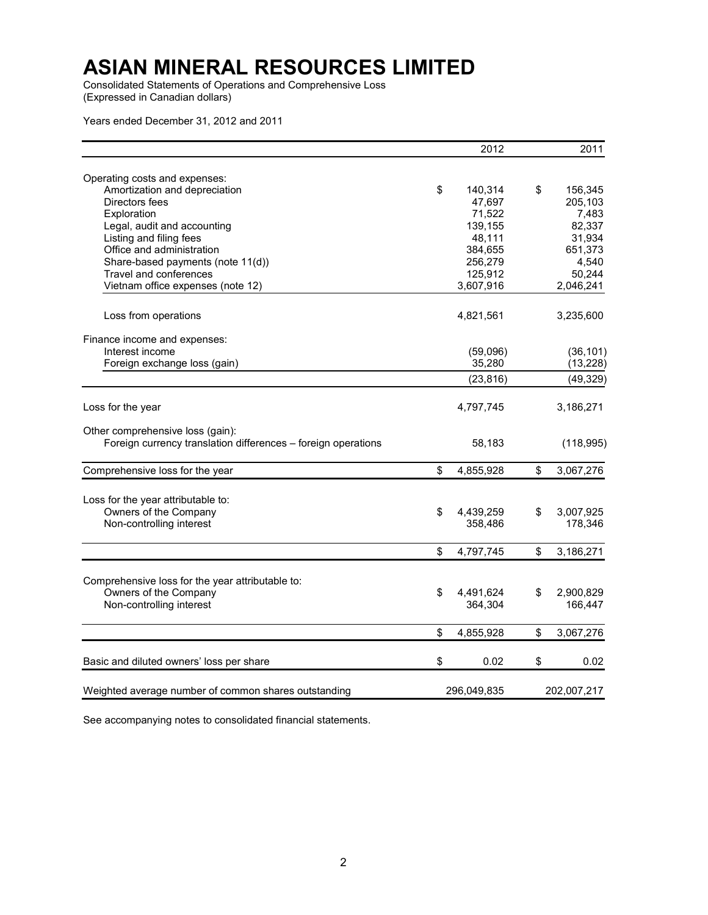Consolidated Statements of Operations and Comprehensive Loss (Expressed in Canadian dollars)

Years ended December 31, 2012 and 2011

|                                                               | 2012            | 2011            |
|---------------------------------------------------------------|-----------------|-----------------|
|                                                               |                 |                 |
| Operating costs and expenses:                                 |                 |                 |
| Amortization and depreciation                                 | \$<br>140,314   | \$<br>156,345   |
| Directors fees                                                | 47,697          | 205,103         |
| Exploration                                                   | 71,522          | 7,483           |
| Legal, audit and accounting                                   | 139,155         | 82,337          |
| Listing and filing fees                                       | 48,111          | 31,934          |
| Office and administration                                     | 384,655         | 651,373         |
| Share-based payments (note 11(d))                             | 256,279         | 4,540           |
| Travel and conferences                                        | 125,912         | 50,244          |
| Vietnam office expenses (note 12)                             | 3,607,916       | 2,046,241       |
| Loss from operations                                          | 4,821,561       | 3,235,600       |
| Finance income and expenses:                                  |                 |                 |
| Interest income                                               | (59,096)        | (36, 101)       |
| Foreign exchange loss (gain)                                  | 35,280          | (13, 228)       |
|                                                               | (23, 816)       | (49, 329)       |
| Loss for the year                                             | 4,797,745       | 3,186,271       |
|                                                               |                 |                 |
| Other comprehensive loss (gain):                              |                 |                 |
| Foreign currency translation differences - foreign operations | 58,183          | (118,995)       |
| Comprehensive loss for the year                               | \$<br>4,855,928 | \$<br>3,067,276 |
| Loss for the year attributable to:                            |                 |                 |
| Owners of the Company                                         | \$<br>4,439,259 | \$<br>3,007,925 |
| Non-controlling interest                                      | 358,486         | 178,346         |
|                                                               | \$<br>4,797,745 | \$<br>3,186,271 |
|                                                               |                 |                 |
| Comprehensive loss for the year attributable to:              |                 |                 |
| Owners of the Company                                         | \$<br>4,491,624 | \$<br>2,900,829 |
| Non-controlling interest                                      | 364,304         | 166,447         |
|                                                               | \$<br>4,855,928 | \$<br>3,067,276 |
|                                                               |                 |                 |
| Basic and diluted owners' loss per share                      | \$<br>0.02      | \$<br>0.02      |
| Weighted average number of common shares outstanding          | 296,049,835     | 202,007,217     |

See accompanying notes to consolidated financial statements.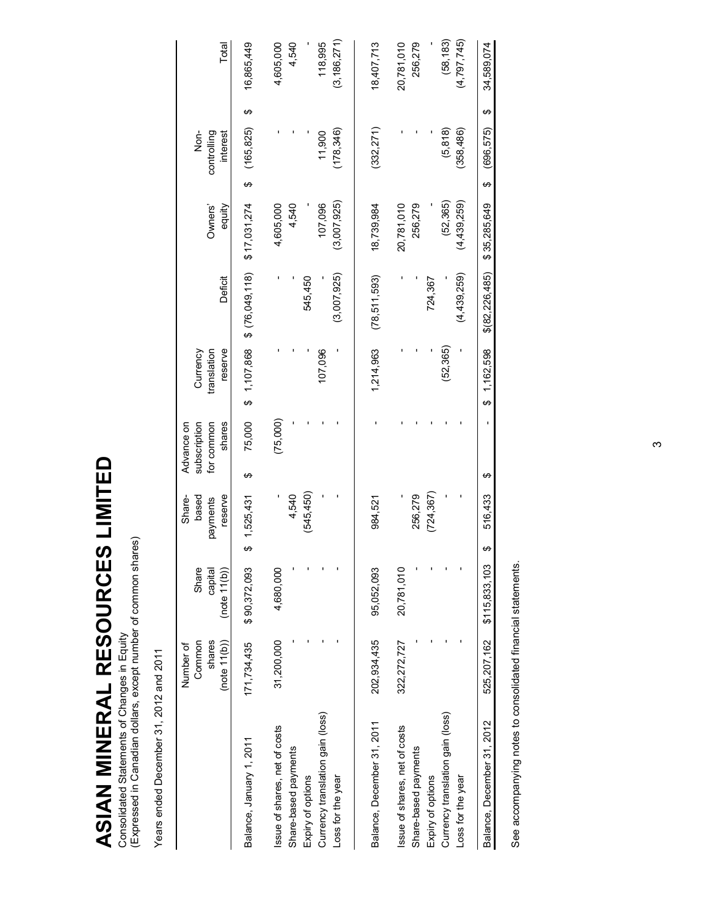ASIAN MINERAL RESOURCES LIMITED **ASIAN MINERAL RESOURCES LIMITED** Consolidated Statements of Changes in Equity<br>(Expressed in Canadian dollars, except number of common shares) Consolidated Statements of Changes in Equity

(Expressed in Canadian dollars, except number of common shares)

Years ended December 31, 2012 and 2011 Years ended December 31, 2012 and 2011

| 34,589,074    | ക | (696, 575)              | ↔  | \$35,285,649      | $$$ $(82, 226, 485)$       | 1,162,598<br>မာ        | ക                          | 516,433<br>↔        | \$115,833,103           | 525,207,162            | Balance, December 31, 2012       |
|---------------|---|-------------------------|----|-------------------|----------------------------|------------------------|----------------------------|---------------------|-------------------------|------------------------|----------------------------------|
| (4,797,745)   |   | (358, 486)              |    | (4,439,259)       | (4,439,259)                |                        |                            |                     |                         |                        | Loss for the year                |
| (58, 183)     |   | (5, 818)                |    | (52, 365)         |                            | (52, 365)              |                            |                     |                         |                        | Currency translation gain (loss) |
|               |   |                         |    |                   | 724,367                    |                        |                            | (724, 367)          |                         |                        | Expiry of options                |
| 256,279       |   |                         |    | 256,279           |                            |                        |                            | 256,279             |                         |                        | Share-based payments             |
| 20,781,010    |   |                         |    | 20,781,010        |                            |                        |                            |                     | 20,781,010              | 322, 272, 727          | Issue of shares, net of costs    |
| 18,407,713    |   | (332, 271)              |    | 18,739,984        | (78, 511, 593)             | 1,214,963              |                            | 984,521             | 95,052,093              | 202,934,435            | Balance, December 31, 2011       |
| (3, 186, 271) |   | (178,346)               |    | (3,007,925)       | (3,007,925)                |                        |                            |                     |                         |                        | Loss for the year                |
| 118,995       |   | 11,900                  |    | 107,096           |                            | 107,096                |                            |                     |                         |                        | Currency translation gain (loss) |
|               |   |                         |    |                   | 545,450                    |                        |                            | (545, 450)          |                         |                        | Expiry of options                |
| 4,540         |   |                         |    | 4,540             |                            |                        |                            | 4,540               |                         |                        | Share-based payments             |
| 4,605,000     |   |                         |    | 4,605,000         |                            |                        | (75,000)                   |                     | 4,680,000               | 31,200,000             | Issue of shares, net of costs    |
| 16,865,449    | ↮ | (165, 825)              | မာ | \$17,031,274      | $$1,107,868$ $$76,049,118$ |                        | 75,000<br>↮                | \$1,525,431         | \$90,372,093            | 171,734,435            | Balance, January 1, 2011         |
| Total         |   | controlling<br>interest |    | equity<br>Owners' | Deficit                    | reserve<br>translation | for common<br>shares       | reserve<br>payments | (note 11(b))<br>capital | (note 11(b))<br>shares |                                  |
|               |   | $\frac{1}{2}$           |    |                   |                            | Currency               | subscription<br>Advance on | based<br>Share-     | Share                   | Common<br>Number of    |                                  |

See accompanying notes to consolidated financial statements. See accompanying notes to consolidated financial statements.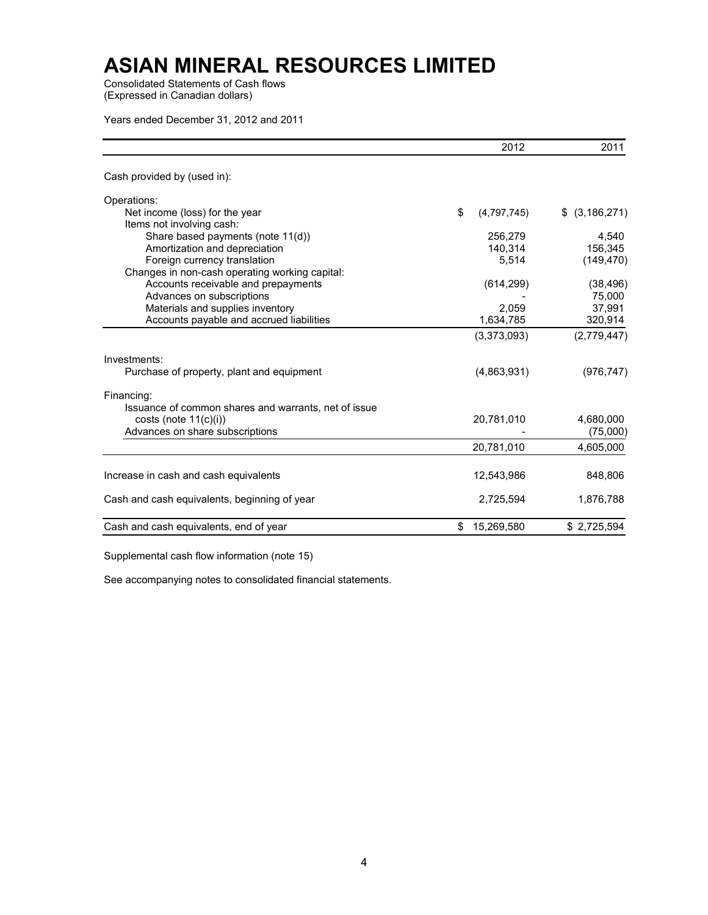Consolidated Statements of Cash flows (Expressed in Canadian dollars)

Years ended December 31, 2012 and 2011

|                                                      | 2012              | 2011           |
|------------------------------------------------------|-------------------|----------------|
| Cash provided by (used in):                          |                   |                |
| Operations:                                          |                   |                |
| Net income (loss) for the year                       | \$<br>(4,797,745) | \$ (3,186,271) |
| Items not involving cash:                            |                   |                |
| Share based payments (note 11(d))                    | 256,279           | 4,540          |
| Amortization and depreciation                        | 140.314           | 156,345        |
| Foreign currency translation                         | 5,514             | (149, 470)     |
| Changes in non-cash operating working capital:       |                   |                |
| Accounts receivable and prepayments                  | (614, 299)        | (38, 496)      |
| Advances on subscriptions                            |                   | 75,000         |
| Materials and supplies inventory                     | 2.059             | 37.991         |
| Accounts payable and accrued liabilities             | 1,634,785         | 320,914        |
|                                                      | (3,373,093)       | (2,779,447)    |
| Investments:                                         |                   |                |
| Purchase of property, plant and equipment            | (4,863,931)       | (976, 747)     |
| Financing:                                           |                   |                |
| Issuance of common shares and warrants, net of issue |                   |                |
| costs (note $11(c)(i)$ )                             | 20,781,010        | 4,680,000      |
| Advances on share subscriptions                      |                   | (75,000)       |
|                                                      | 20,781,010        | 4,605,000      |
| Increase in cash and cash equivalents                | 12,543,986        | 848,806        |
| Cash and cash equivalents, beginning of year         | 2,725,594         | 1,876,788      |
| Cash and cash equivalents, end of year               | \$<br>15,269,580  | \$2,725,594    |

Supplemental cash flow information (note 15)

See accompanying notes to consolidated financial statements.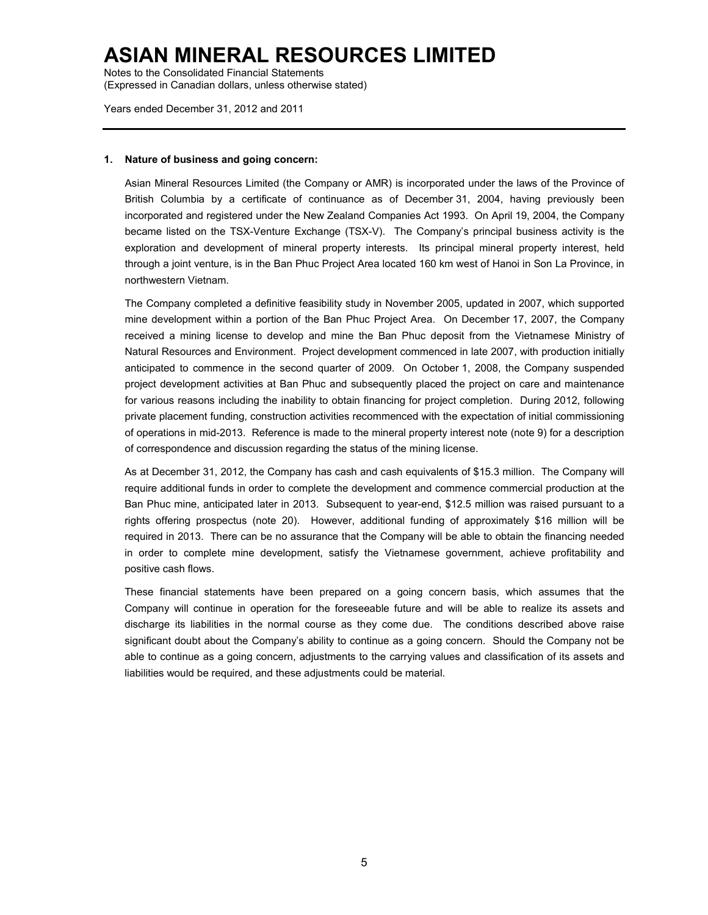Notes to the Consolidated Financial Statements (Expressed in Canadian dollars, unless otherwise stated)

Years ended December 31, 2012 and 2011

#### **1. Nature of business and going concern:**

Asian Mineral Resources Limited (the Company or AMR) is incorporated under the laws of the Province of British Columbia by a certificate of continuance as of December 31, 2004, having previously been incorporated and registered under the New Zealand Companies Act 1993. On April 19, 2004, the Company became listed on the TSX-Venture Exchange (TSX-V). The Company's principal business activity is the exploration and development of mineral property interests. Its principal mineral property interest, held through a joint venture, is in the Ban Phuc Project Area located 160 km west of Hanoi in Son La Province, in northwestern Vietnam.

The Company completed a definitive feasibility study in November 2005, updated in 2007, which supported mine development within a portion of the Ban Phuc Project Area. On December 17, 2007, the Company received a mining license to develop and mine the Ban Phuc deposit from the Vietnamese Ministry of Natural Resources and Environment. Project development commenced in late 2007, with production initially anticipated to commence in the second quarter of 2009. On October 1, 2008, the Company suspended project development activities at Ban Phuc and subsequently placed the project on care and maintenance for various reasons including the inability to obtain financing for project completion. During 2012, following private placement funding, construction activities recommenced with the expectation of initial commissioning of operations in mid-2013. Reference is made to the mineral property interest note (note 9) for a description of correspondence and discussion regarding the status of the mining license.

As at December 31, 2012, the Company has cash and cash equivalents of \$15.3 million. The Company will require additional funds in order to complete the development and commence commercial production at the Ban Phuc mine, anticipated later in 2013. Subsequent to year-end, \$12.5 million was raised pursuant to a rights offering prospectus (note 20). However, additional funding of approximately \$16 million will be required in 2013. There can be no assurance that the Company will be able to obtain the financing needed in order to complete mine development, satisfy the Vietnamese government, achieve profitability and positive cash flows.

These financial statements have been prepared on a going concern basis, which assumes that the Company will continue in operation for the foreseeable future and will be able to realize its assets and discharge its liabilities in the normal course as they come due. The conditions described above raise significant doubt about the Company's ability to continue as a going concern. Should the Company not be able to continue as a going concern, adjustments to the carrying values and classification of its assets and liabilities would be required, and these adjustments could be material.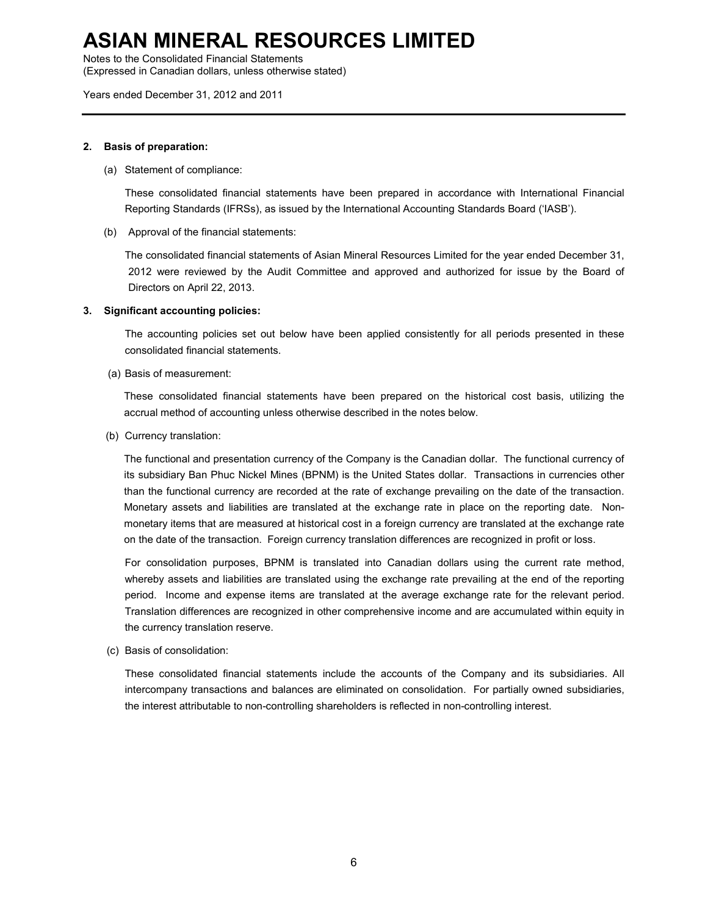Notes to the Consolidated Financial Statements

(Expressed in Canadian dollars, unless otherwise stated)

Years ended December 31, 2012 and 2011

#### **2. Basis of preparation:**

(a) Statement of compliance:

These consolidated financial statements have been prepared in accordance with International Financial Reporting Standards (IFRSs), as issued by the International Accounting Standards Board ('IASB').

(b) Approval of the financial statements:

The consolidated financial statements of Asian Mineral Resources Limited for the year ended December 31, 2012 were reviewed by the Audit Committee and approved and authorized for issue by the Board of Directors on April 22, 2013.

#### **3. Significant accounting policies:**

The accounting policies set out below have been applied consistently for all periods presented in these consolidated financial statements.

(a) Basis of measurement:

These consolidated financial statements have been prepared on the historical cost basis, utilizing the accrual method of accounting unless otherwise described in the notes below.

(b) Currency translation:

The functional and presentation currency of the Company is the Canadian dollar. The functional currency of its subsidiary Ban Phuc Nickel Mines (BPNM) is the United States dollar. Transactions in currencies other than the functional currency are recorded at the rate of exchange prevailing on the date of the transaction. Monetary assets and liabilities are translated at the exchange rate in place on the reporting date. Nonmonetary items that are measured at historical cost in a foreign currency are translated at the exchange rate on the date of the transaction. Foreign currency translation differences are recognized in profit or loss.

For consolidation purposes, BPNM is translated into Canadian dollars using the current rate method, whereby assets and liabilities are translated using the exchange rate prevailing at the end of the reporting period. Income and expense items are translated at the average exchange rate for the relevant period. Translation differences are recognized in other comprehensive income and are accumulated within equity in the currency translation reserve.

(c) Basis of consolidation:

These consolidated financial statements include the accounts of the Company and its subsidiaries. All intercompany transactions and balances are eliminated on consolidation. For partially owned subsidiaries, the interest attributable to non-controlling shareholders is reflected in non-controlling interest.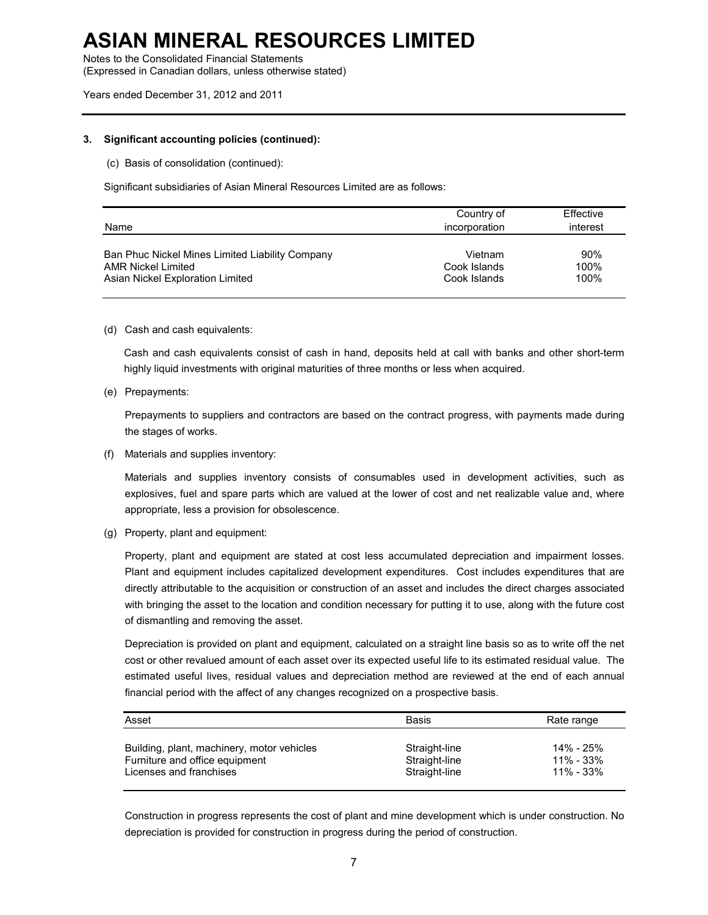Notes to the Consolidated Financial Statements

(Expressed in Canadian dollars, unless otherwise stated)

Years ended December 31, 2012 and 2011

#### **3. Significant accounting policies (continued):**

(c) Basis of consolidation (continued):

Significant subsidiaries of Asian Mineral Resources Limited are as follows:

| Name                                            | Country of<br>incorporation | Effective<br>interest |
|-------------------------------------------------|-----------------------------|-----------------------|
| Ban Phuc Nickel Mines Limited Liability Company | Vietnam                     | 90%                   |
| AMR Nickel Limited                              | Cook Islands                | 100%                  |
| Asian Nickel Exploration Limited                | Cook Islands                | 100%                  |

#### (d) Cash and cash equivalents:

Cash and cash equivalents consist of cash in hand, deposits held at call with banks and other short-term highly liquid investments with original maturities of three months or less when acquired.

(e) Prepayments:

Prepayments to suppliers and contractors are based on the contract progress, with payments made during the stages of works.

(f) Materials and supplies inventory:

Materials and supplies inventory consists of consumables used in development activities, such as explosives, fuel and spare parts which are valued at the lower of cost and net realizable value and, where appropriate, less a provision for obsolescence.

(g) Property, plant and equipment:

Property, plant and equipment are stated at cost less accumulated depreciation and impairment losses. Plant and equipment includes capitalized development expenditures. Cost includes expenditures that are directly attributable to the acquisition or construction of an asset and includes the direct charges associated with bringing the asset to the location and condition necessary for putting it to use, along with the future cost of dismantling and removing the asset.

Depreciation is provided on plant and equipment, calculated on a straight line basis so as to write off the net cost or other revalued amount of each asset over its expected useful life to its estimated residual value. The estimated useful lives, residual values and depreciation method are reviewed at the end of each annual financial period with the affect of any changes recognized on a prospective basis.

| Asset                                      | Basis         | Rate range    |
|--------------------------------------------|---------------|---------------|
| Building, plant, machinery, motor vehicles | Straight-line | 14% - 25%     |
| Furniture and office equipment             | Straight-line | 11% - 33%     |
| Licenses and franchises                    | Straight-line | $11\% - 33\%$ |

Construction in progress represents the cost of plant and mine development which is under construction. No depreciation is provided for construction in progress during the period of construction.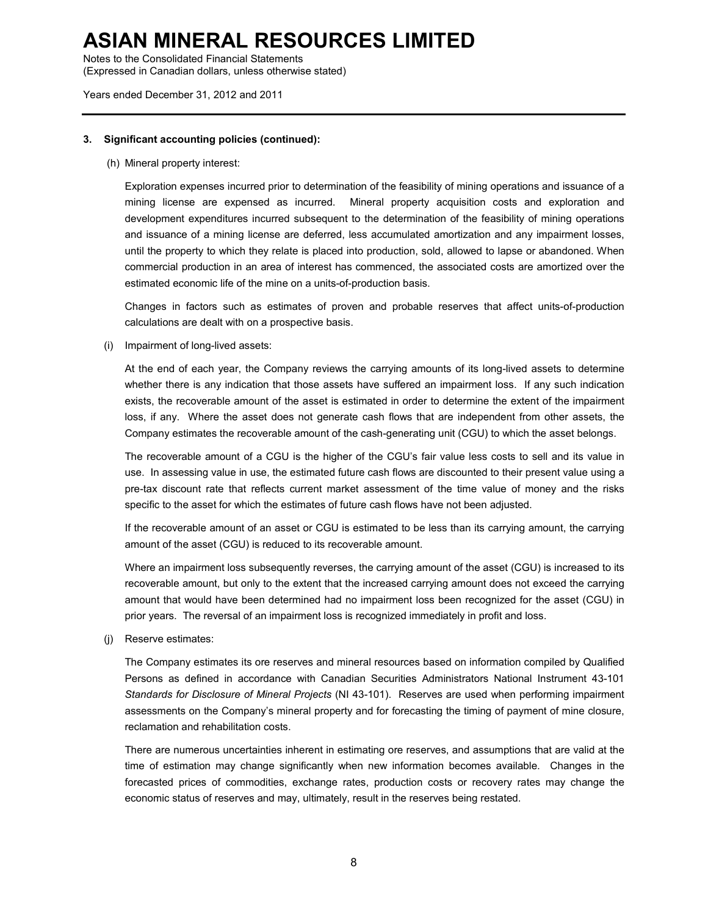Notes to the Consolidated Financial Statements

(Expressed in Canadian dollars, unless otherwise stated)

Years ended December 31, 2012 and 2011

#### **3. Significant accounting policies (continued):**

(h) Mineral property interest:

Exploration expenses incurred prior to determination of the feasibility of mining operations and issuance of a mining license are expensed as incurred. Mineral property acquisition costs and exploration and development expenditures incurred subsequent to the determination of the feasibility of mining operations and issuance of a mining license are deferred, less accumulated amortization and any impairment losses, until the property to which they relate is placed into production, sold, allowed to lapse or abandoned. When commercial production in an area of interest has commenced, the associated costs are amortized over the estimated economic life of the mine on a units-of-production basis.

Changes in factors such as estimates of proven and probable reserves that affect units-of-production calculations are dealt with on a prospective basis.

(i) Impairment of long-lived assets:

At the end of each year, the Company reviews the carrying amounts of its long-lived assets to determine whether there is any indication that those assets have suffered an impairment loss. If any such indication exists, the recoverable amount of the asset is estimated in order to determine the extent of the impairment loss, if any. Where the asset does not generate cash flows that are independent from other assets, the Company estimates the recoverable amount of the cash-generating unit (CGU) to which the asset belongs.

The recoverable amount of a CGU is the higher of the CGU's fair value less costs to sell and its value in use. In assessing value in use, the estimated future cash flows are discounted to their present value using a pre-tax discount rate that reflects current market assessment of the time value of money and the risks specific to the asset for which the estimates of future cash flows have not been adjusted.

If the recoverable amount of an asset or CGU is estimated to be less than its carrying amount, the carrying amount of the asset (CGU) is reduced to its recoverable amount.

Where an impairment loss subsequently reverses, the carrying amount of the asset (CGU) is increased to its recoverable amount, but only to the extent that the increased carrying amount does not exceed the carrying amount that would have been determined had no impairment loss been recognized for the asset (CGU) in prior years. The reversal of an impairment loss is recognized immediately in profit and loss.

(j) Reserve estimates:

The Company estimates its ore reserves and mineral resources based on information compiled by Qualified Persons as defined in accordance with Canadian Securities Administrators National Instrument 43-101 *Standards for Disclosure of Mineral Projects* (NI 43-101). Reserves are used when performing impairment assessments on the Company's mineral property and for forecasting the timing of payment of mine closure, reclamation and rehabilitation costs.

There are numerous uncertainties inherent in estimating ore reserves, and assumptions that are valid at the time of estimation may change significantly when new information becomes available. Changes in the forecasted prices of commodities, exchange rates, production costs or recovery rates may change the economic status of reserves and may, ultimately, result in the reserves being restated.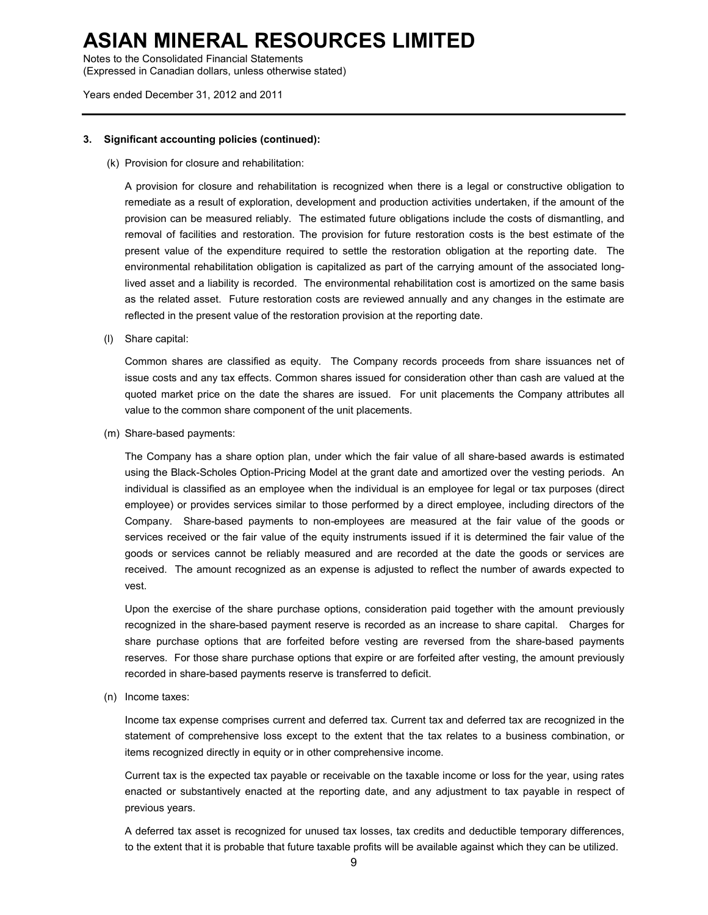Notes to the Consolidated Financial Statements

(Expressed in Canadian dollars, unless otherwise stated)

Years ended December 31, 2012 and 2011

#### **3. Significant accounting policies (continued):**

(k) Provision for closure and rehabilitation:

A provision for closure and rehabilitation is recognized when there is a legal or constructive obligation to remediate as a result of exploration, development and production activities undertaken, if the amount of the provision can be measured reliably. The estimated future obligations include the costs of dismantling, and removal of facilities and restoration. The provision for future restoration costs is the best estimate of the present value of the expenditure required to settle the restoration obligation at the reporting date. The environmental rehabilitation obligation is capitalized as part of the carrying amount of the associated longlived asset and a liability is recorded. The environmental rehabilitation cost is amortized on the same basis as the related asset. Future restoration costs are reviewed annually and any changes in the estimate are reflected in the present value of the restoration provision at the reporting date.

(l) Share capital:

Common shares are classified as equity. The Company records proceeds from share issuances net of issue costs and any tax effects. Common shares issued for consideration other than cash are valued at the quoted market price on the date the shares are issued. For unit placements the Company attributes all value to the common share component of the unit placements.

(m) Share-based payments:

The Company has a share option plan, under which the fair value of all share-based awards is estimated using the Black-Scholes Option-Pricing Model at the grant date and amortized over the vesting periods. An individual is classified as an employee when the individual is an employee for legal or tax purposes (direct employee) or provides services similar to those performed by a direct employee, including directors of the Company. Share-based payments to non-employees are measured at the fair value of the goods or services received or the fair value of the equity instruments issued if it is determined the fair value of the goods or services cannot be reliably measured and are recorded at the date the goods or services are received. The amount recognized as an expense is adjusted to reflect the number of awards expected to vest.

Upon the exercise of the share purchase options, consideration paid together with the amount previously recognized in the share-based payment reserve is recorded as an increase to share capital. Charges for share purchase options that are forfeited before vesting are reversed from the share-based payments reserves. For those share purchase options that expire or are forfeited after vesting, the amount previously recorded in share-based payments reserve is transferred to deficit.

(n) Income taxes:

Income tax expense comprises current and deferred tax. Current tax and deferred tax are recognized in the statement of comprehensive loss except to the extent that the tax relates to a business combination, or items recognized directly in equity or in other comprehensive income.

Current tax is the expected tax payable or receivable on the taxable income or loss for the year, using rates enacted or substantively enacted at the reporting date, and any adjustment to tax payable in respect of previous years.

A deferred tax asset is recognized for unused tax losses, tax credits and deductible temporary differences, to the extent that it is probable that future taxable profits will be available against which they can be utilized.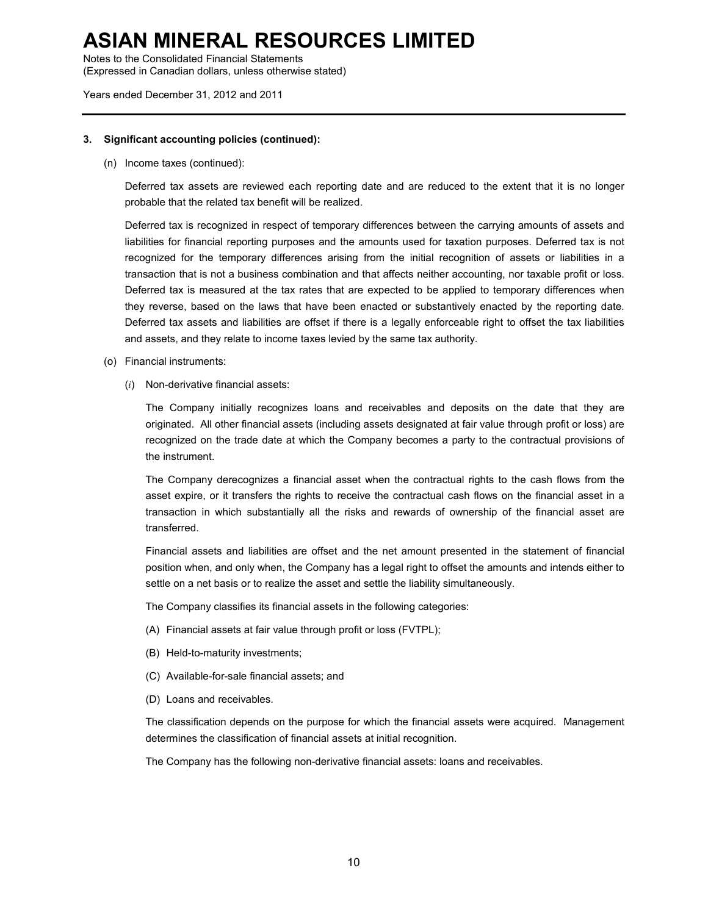Notes to the Consolidated Financial Statements

(Expressed in Canadian dollars, unless otherwise stated)

Years ended December 31, 2012 and 2011

#### **3. Significant accounting policies (continued):**

(n) Income taxes (continued):

Deferred tax assets are reviewed each reporting date and are reduced to the extent that it is no longer probable that the related tax benefit will be realized.

Deferred tax is recognized in respect of temporary differences between the carrying amounts of assets and liabilities for financial reporting purposes and the amounts used for taxation purposes. Deferred tax is not recognized for the temporary differences arising from the initial recognition of assets or liabilities in a transaction that is not a business combination and that affects neither accounting, nor taxable profit or loss. Deferred tax is measured at the tax rates that are expected to be applied to temporary differences when they reverse, based on the laws that have been enacted or substantively enacted by the reporting date. Deferred tax assets and liabilities are offset if there is a legally enforceable right to offset the tax liabilities and assets, and they relate to income taxes levied by the same tax authority.

- (o) Financial instruments:
	- (*i*) Non-derivative financial assets:

The Company initially recognizes loans and receivables and deposits on the date that they are originated. All other financial assets (including assets designated at fair value through profit or loss) are recognized on the trade date at which the Company becomes a party to the contractual provisions of the instrument.

The Company derecognizes a financial asset when the contractual rights to the cash flows from the asset expire, or it transfers the rights to receive the contractual cash flows on the financial asset in a transaction in which substantially all the risks and rewards of ownership of the financial asset are transferred.

Financial assets and liabilities are offset and the net amount presented in the statement of financial position when, and only when, the Company has a legal right to offset the amounts and intends either to settle on a net basis or to realize the asset and settle the liability simultaneously.

The Company classifies its financial assets in the following categories:

- (A) Financial assets at fair value through profit or loss (FVTPL);
- (B) Held-to-maturity investments;
- (C) Available-for-sale financial assets; and
- (D) Loans and receivables.

The classification depends on the purpose for which the financial assets were acquired. Management determines the classification of financial assets at initial recognition.

The Company has the following non-derivative financial assets: loans and receivables.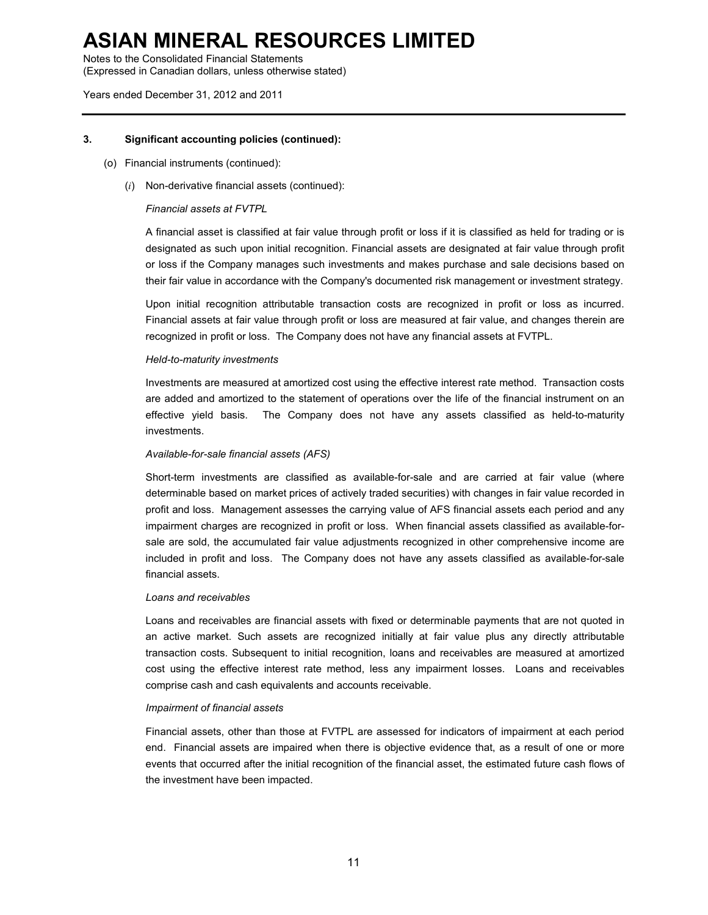Notes to the Consolidated Financial Statements

(Expressed in Canadian dollars, unless otherwise stated)

Years ended December 31, 2012 and 2011

#### **3. Significant accounting policies (continued):**

- (o) Financial instruments (continued):
	- (*i*) Non-derivative financial assets (continued):

#### *Financial assets at FVTPL*

A financial asset is classified at fair value through profit or loss if it is classified as held for trading or is designated as such upon initial recognition. Financial assets are designated at fair value through profit or loss if the Company manages such investments and makes purchase and sale decisions based on their fair value in accordance with the Company's documented risk management or investment strategy.

Upon initial recognition attributable transaction costs are recognized in profit or loss as incurred. Financial assets at fair value through profit or loss are measured at fair value, and changes therein are recognized in profit or loss. The Company does not have any financial assets at FVTPL.

#### *Held-to-maturity investments*

Investments are measured at amortized cost using the effective interest rate method. Transaction costs are added and amortized to the statement of operations over the life of the financial instrument on an effective yield basis. The Company does not have any assets classified as held-to-maturity investments.

#### *Available-for-sale financial assets (AFS)*

Short-term investments are classified as available-for-sale and are carried at fair value (where determinable based on market prices of actively traded securities) with changes in fair value recorded in profit and loss. Management assesses the carrying value of AFS financial assets each period and any impairment charges are recognized in profit or loss. When financial assets classified as available-forsale are sold, the accumulated fair value adjustments recognized in other comprehensive income are included in profit and loss. The Company does not have any assets classified as available-for-sale financial assets.

#### *Loans and receivables*

Loans and receivables are financial assets with fixed or determinable payments that are not quoted in an active market. Such assets are recognized initially at fair value plus any directly attributable transaction costs. Subsequent to initial recognition, loans and receivables are measured at amortized cost using the effective interest rate method, less any impairment losses. Loans and receivables comprise cash and cash equivalents and accounts receivable.

#### *Impairment of financial assets*

Financial assets, other than those at FVTPL are assessed for indicators of impairment at each period end. Financial assets are impaired when there is objective evidence that, as a result of one or more events that occurred after the initial recognition of the financial asset, the estimated future cash flows of the investment have been impacted.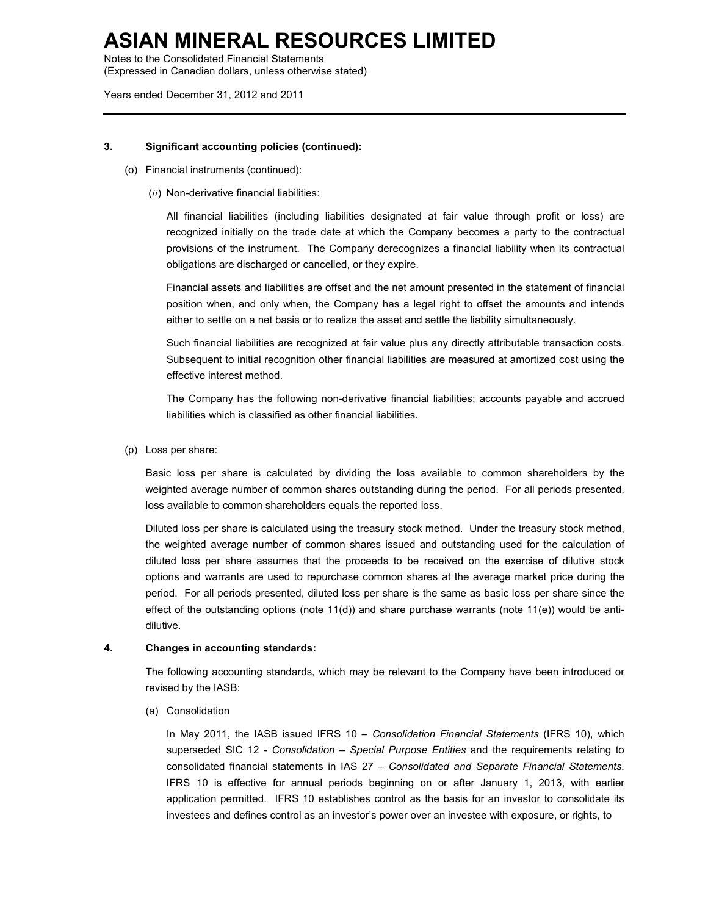Notes to the Consolidated Financial Statements (Expressed in Canadian dollars, unless otherwise stated)

Years ended December 31, 2012 and 2011

#### **3. Significant accounting policies (continued):**

- (o) Financial instruments (continued):
	- (*ii*) Non-derivative financial liabilities:

All financial liabilities (including liabilities designated at fair value through profit or loss) are recognized initially on the trade date at which the Company becomes a party to the contractual provisions of the instrument. The Company derecognizes a financial liability when its contractual obligations are discharged or cancelled, or they expire.

Financial assets and liabilities are offset and the net amount presented in the statement of financial position when, and only when, the Company has a legal right to offset the amounts and intends either to settle on a net basis or to realize the asset and settle the liability simultaneously.

Such financial liabilities are recognized at fair value plus any directly attributable transaction costs. Subsequent to initial recognition other financial liabilities are measured at amortized cost using the effective interest method.

The Company has the following non-derivative financial liabilities; accounts payable and accrued liabilities which is classified as other financial liabilities.

(p) Loss per share:

Basic loss per share is calculated by dividing the loss available to common shareholders by the weighted average number of common shares outstanding during the period. For all periods presented, loss available to common shareholders equals the reported loss.

Diluted loss per share is calculated using the treasury stock method. Under the treasury stock method, the weighted average number of common shares issued and outstanding used for the calculation of diluted loss per share assumes that the proceeds to be received on the exercise of dilutive stock options and warrants are used to repurchase common shares at the average market price during the period. For all periods presented, diluted loss per share is the same as basic loss per share since the effect of the outstanding options (note 11(d)) and share purchase warrants (note 11(e)) would be antidilutive.

#### **4. Changes in accounting standards:**

The following accounting standards, which may be relevant to the Company have been introduced or revised by the IASB:

(a) Consolidation

In May 2011, the IASB issued IFRS 10 – *Consolidation Financial Statements* (IFRS 10), which superseded SIC 12 - *Consolidation – Special Purpose Entities* and the requirements relating to consolidated financial statements in IAS 27 – *Consolidated and Separate Financial Statements*. IFRS 10 is effective for annual periods beginning on or after January 1, 2013, with earlier application permitted. IFRS 10 establishes control as the basis for an investor to consolidate its investees and defines control as an investor's power over an investee with exposure, or rights, to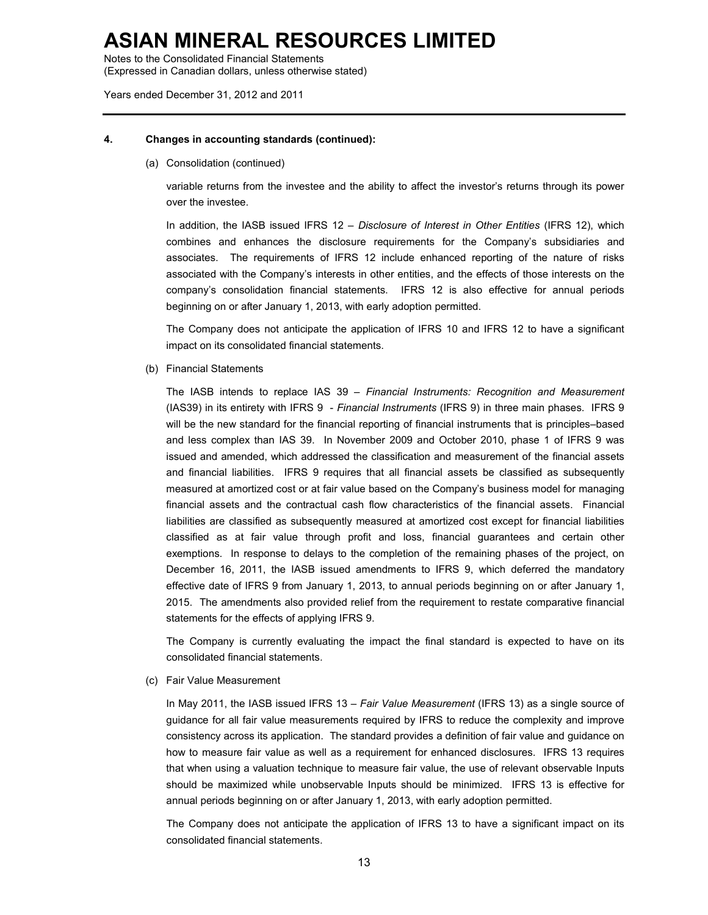Notes to the Consolidated Financial Statements (Expressed in Canadian dollars, unless otherwise stated)

Years ended December 31, 2012 and 2011

#### **4. Changes in accounting standards (continued):**

(a) Consolidation (continued)

variable returns from the investee and the ability to affect the investor's returns through its power over the investee.

In addition, the IASB issued IFRS 12 – *Disclosure of Interest in Other Entities* (IFRS 12), which combines and enhances the disclosure requirements for the Company's subsidiaries and associates. The requirements of IFRS 12 include enhanced reporting of the nature of risks associated with the Company's interests in other entities, and the effects of those interests on the company's consolidation financial statements. IFRS 12 is also effective for annual periods beginning on or after January 1, 2013, with early adoption permitted.

The Company does not anticipate the application of IFRS 10 and IFRS 12 to have a significant impact on its consolidated financial statements.

(b) Financial Statements

The IASB intends to replace IAS 39 – *Financial Instruments: Recognition and Measurement*  (IAS39) in its entirety with IFRS 9 - *Financial Instruments* (IFRS 9) in three main phases. IFRS 9 will be the new standard for the financial reporting of financial instruments that is principles–based and less complex than IAS 39. In November 2009 and October 2010, phase 1 of IFRS 9 was issued and amended, which addressed the classification and measurement of the financial assets and financial liabilities. IFRS 9 requires that all financial assets be classified as subsequently measured at amortized cost or at fair value based on the Company's business model for managing financial assets and the contractual cash flow characteristics of the financial assets. Financial liabilities are classified as subsequently measured at amortized cost except for financial liabilities classified as at fair value through profit and loss, financial guarantees and certain other exemptions. In response to delays to the completion of the remaining phases of the project, on December 16, 2011, the IASB issued amendments to IFRS 9, which deferred the mandatory effective date of IFRS 9 from January 1, 2013, to annual periods beginning on or after January 1, 2015. The amendments also provided relief from the requirement to restate comparative financial statements for the effects of applying IFRS 9.

The Company is currently evaluating the impact the final standard is expected to have on its consolidated financial statements.

(c) Fair Value Measurement

In May 2011, the IASB issued IFRS 13 – *Fair Value Measurement* (IFRS 13) as a single source of guidance for all fair value measurements required by IFRS to reduce the complexity and improve consistency across its application. The standard provides a definition of fair value and guidance on how to measure fair value as well as a requirement for enhanced disclosures. IFRS 13 requires that when using a valuation technique to measure fair value, the use of relevant observable Inputs should be maximized while unobservable Inputs should be minimized. IFRS 13 is effective for annual periods beginning on or after January 1, 2013, with early adoption permitted.

The Company does not anticipate the application of IFRS 13 to have a significant impact on its consolidated financial statements.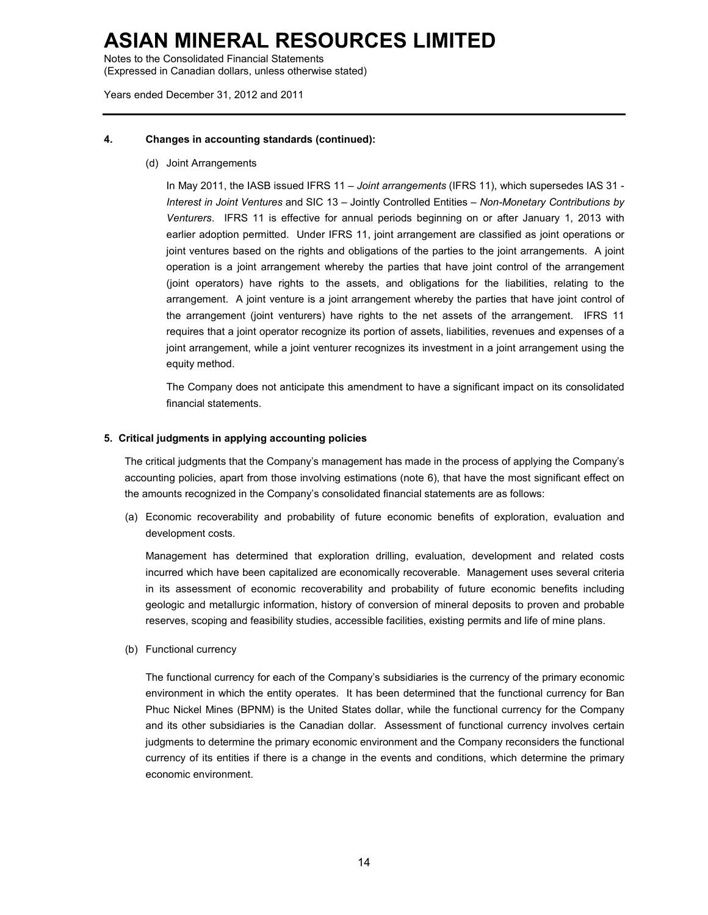Notes to the Consolidated Financial Statements (Expressed in Canadian dollars, unless otherwise stated)

Years ended December 31, 2012 and 2011

#### **4. Changes in accounting standards (continued):**

(d) Joint Arrangements

In May 2011, the IASB issued IFRS 11 – *Joint arrangements* (IFRS 11), which supersedes IAS 31 - *Interest in Joint Ventures* and SIC 13 – Jointly Controlled Entities – *Non-Monetary Contributions by Venturers*. IFRS 11 is effective for annual periods beginning on or after January 1, 2013 with earlier adoption permitted. Under IFRS 11, joint arrangement are classified as joint operations or joint ventures based on the rights and obligations of the parties to the joint arrangements. A joint operation is a joint arrangement whereby the parties that have joint control of the arrangement (joint operators) have rights to the assets, and obligations for the liabilities, relating to the arrangement. A joint venture is a joint arrangement whereby the parties that have joint control of the arrangement (joint venturers) have rights to the net assets of the arrangement. IFRS 11 requires that a joint operator recognize its portion of assets, liabilities, revenues and expenses of a joint arrangement, while a joint venturer recognizes its investment in a joint arrangement using the equity method.

The Company does not anticipate this amendment to have a significant impact on its consolidated financial statements.

#### **5. Critical judgments in applying accounting policies**

The critical judgments that the Company's management has made in the process of applying the Company's accounting policies, apart from those involving estimations (note 6), that have the most significant effect on the amounts recognized in the Company's consolidated financial statements are as follows:

(a) Economic recoverability and probability of future economic benefits of exploration, evaluation and development costs.

Management has determined that exploration drilling, evaluation, development and related costs incurred which have been capitalized are economically recoverable. Management uses several criteria in its assessment of economic recoverability and probability of future economic benefits including geologic and metallurgic information, history of conversion of mineral deposits to proven and probable reserves, scoping and feasibility studies, accessible facilities, existing permits and life of mine plans.

(b) Functional currency

The functional currency for each of the Company's subsidiaries is the currency of the primary economic environment in which the entity operates. It has been determined that the functional currency for Ban Phuc Nickel Mines (BPNM) is the United States dollar, while the functional currency for the Company and its other subsidiaries is the Canadian dollar. Assessment of functional currency involves certain judgments to determine the primary economic environment and the Company reconsiders the functional currency of its entities if there is a change in the events and conditions, which determine the primary economic environment.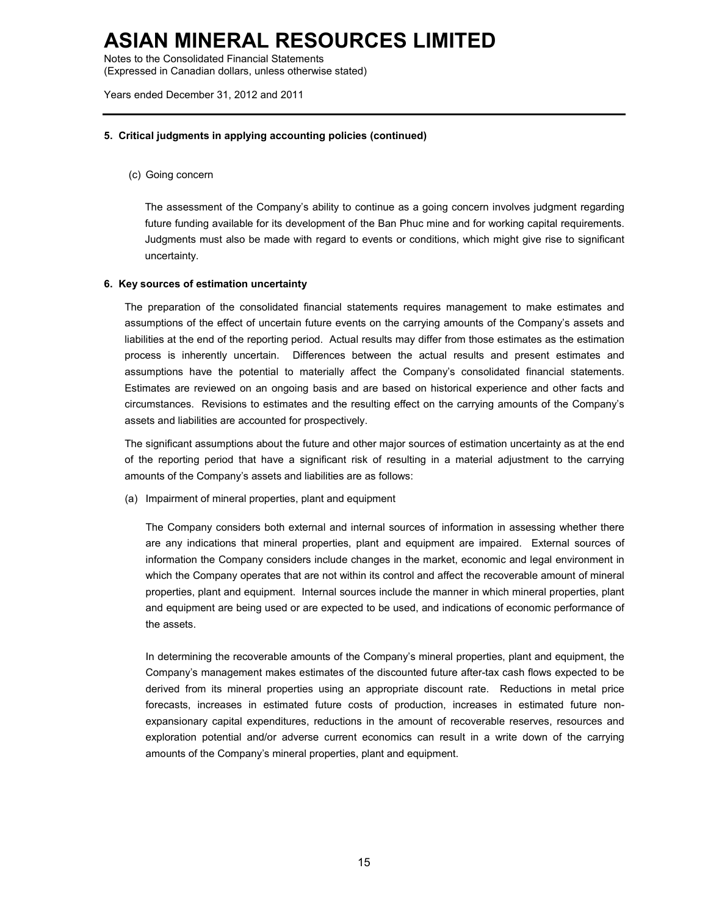Notes to the Consolidated Financial Statements (Expressed in Canadian dollars, unless otherwise stated)

Years ended December 31, 2012 and 2011

#### **5. Critical judgments in applying accounting policies (continued)**

#### (c) Going concern

The assessment of the Company's ability to continue as a going concern involves judgment regarding future funding available for its development of the Ban Phuc mine and for working capital requirements. Judgments must also be made with regard to events or conditions, which might give rise to significant uncertainty.

#### **6. Key sources of estimation uncertainty**

The preparation of the consolidated financial statements requires management to make estimates and assumptions of the effect of uncertain future events on the carrying amounts of the Company's assets and liabilities at the end of the reporting period. Actual results may differ from those estimates as the estimation process is inherently uncertain. Differences between the actual results and present estimates and assumptions have the potential to materially affect the Company's consolidated financial statements. Estimates are reviewed on an ongoing basis and are based on historical experience and other facts and circumstances. Revisions to estimates and the resulting effect on the carrying amounts of the Company's assets and liabilities are accounted for prospectively.

The significant assumptions about the future and other major sources of estimation uncertainty as at the end of the reporting period that have a significant risk of resulting in a material adjustment to the carrying amounts of the Company's assets and liabilities are as follows:

(a) Impairment of mineral properties, plant and equipment

The Company considers both external and internal sources of information in assessing whether there are any indications that mineral properties, plant and equipment are impaired. External sources of information the Company considers include changes in the market, economic and legal environment in which the Company operates that are not within its control and affect the recoverable amount of mineral properties, plant and equipment. Internal sources include the manner in which mineral properties, plant and equipment are being used or are expected to be used, and indications of economic performance of the assets.

In determining the recoverable amounts of the Company's mineral properties, plant and equipment, the Company's management makes estimates of the discounted future after-tax cash flows expected to be derived from its mineral properties using an appropriate discount rate. Reductions in metal price forecasts, increases in estimated future costs of production, increases in estimated future nonexpansionary capital expenditures, reductions in the amount of recoverable reserves, resources and exploration potential and/or adverse current economics can result in a write down of the carrying amounts of the Company's mineral properties, plant and equipment.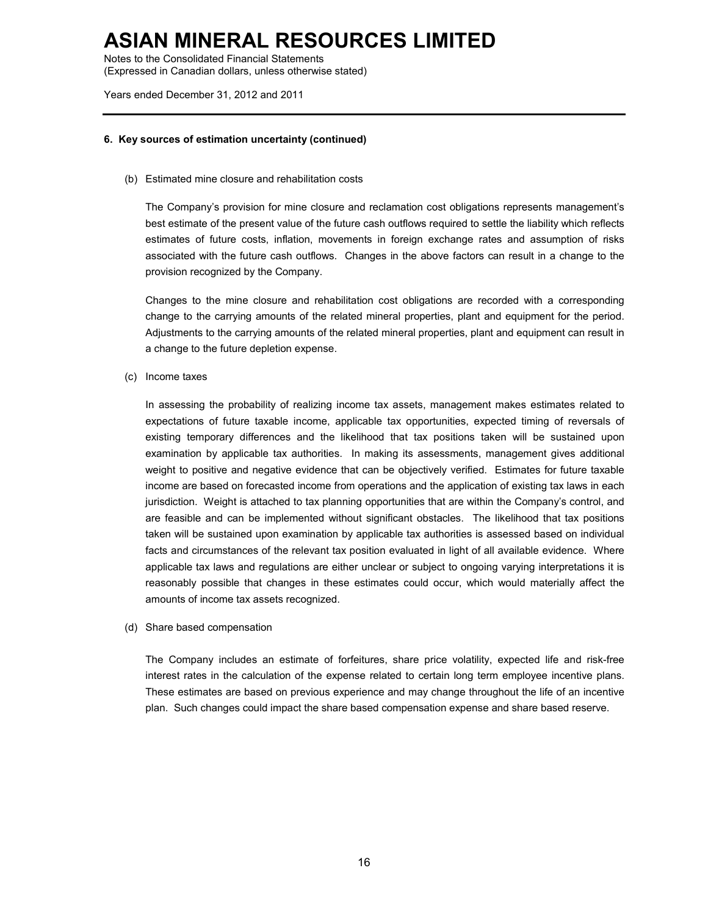Notes to the Consolidated Financial Statements (Expressed in Canadian dollars, unless otherwise stated)

Years ended December 31, 2012 and 2011

#### **6. Key sources of estimation uncertainty (continued)**

(b) Estimated mine closure and rehabilitation costs

The Company's provision for mine closure and reclamation cost obligations represents management's best estimate of the present value of the future cash outflows required to settle the liability which reflects estimates of future costs, inflation, movements in foreign exchange rates and assumption of risks associated with the future cash outflows. Changes in the above factors can result in a change to the provision recognized by the Company.

Changes to the mine closure and rehabilitation cost obligations are recorded with a corresponding change to the carrying amounts of the related mineral properties, plant and equipment for the period. Adjustments to the carrying amounts of the related mineral properties, plant and equipment can result in a change to the future depletion expense.

(c) Income taxes

In assessing the probability of realizing income tax assets, management makes estimates related to expectations of future taxable income, applicable tax opportunities, expected timing of reversals of existing temporary differences and the likelihood that tax positions taken will be sustained upon examination by applicable tax authorities. In making its assessments, management gives additional weight to positive and negative evidence that can be objectively verified. Estimates for future taxable income are based on forecasted income from operations and the application of existing tax laws in each jurisdiction. Weight is attached to tax planning opportunities that are within the Company's control, and are feasible and can be implemented without significant obstacles. The likelihood that tax positions taken will be sustained upon examination by applicable tax authorities is assessed based on individual facts and circumstances of the relevant tax position evaluated in light of all available evidence. Where applicable tax laws and regulations are either unclear or subject to ongoing varying interpretations it is reasonably possible that changes in these estimates could occur, which would materially affect the amounts of income tax assets recognized.

(d) Share based compensation

The Company includes an estimate of forfeitures, share price volatility, expected life and risk-free interest rates in the calculation of the expense related to certain long term employee incentive plans. These estimates are based on previous experience and may change throughout the life of an incentive plan. Such changes could impact the share based compensation expense and share based reserve.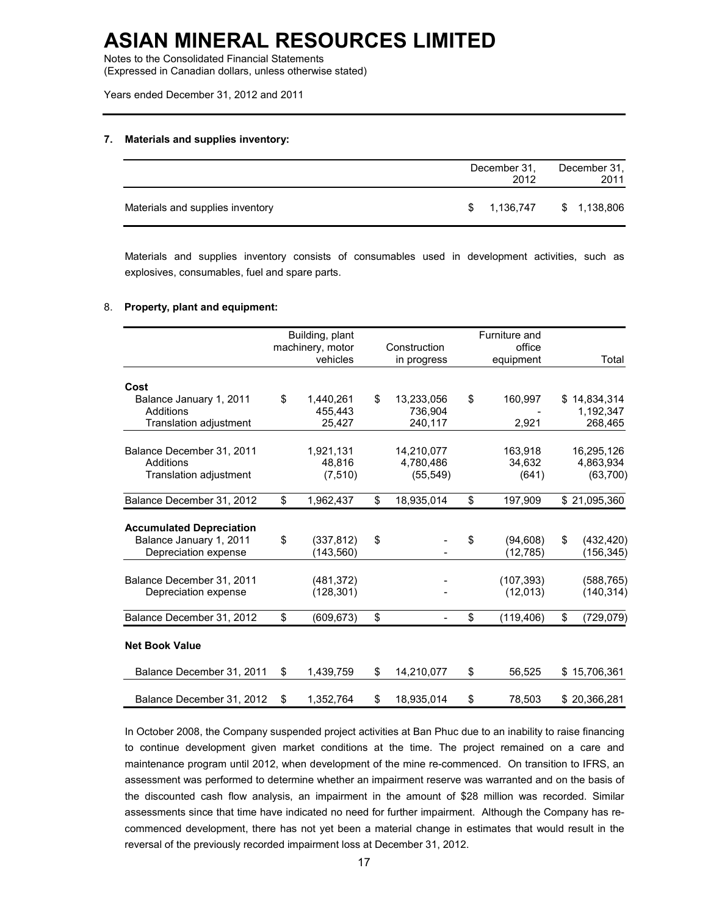Notes to the Consolidated Financial Statements

(Expressed in Canadian dollars, unless otherwise stated)

Years ended December 31, 2012 and 2011

#### **7. Materials and supplies inventory:**

|                                  |     | December 31,<br>2012 | December 31,<br>2011 |
|----------------------------------|-----|----------------------|----------------------|
| Materials and supplies inventory | SS. | 1.136.747            | \$1,138,806          |

Materials and supplies inventory consists of consumables used in development activities, such as explosives, consumables, fuel and spare parts.

#### 8. **Property, plant and equipment:**

|                                 | Building, plant  |                  | Furniture and    |                  |
|---------------------------------|------------------|------------------|------------------|------------------|
|                                 | machinery, motor | Construction     | office           |                  |
|                                 | vehicles         | in progress      | equipment        | Total            |
| Cost                            |                  |                  |                  |                  |
| Balance January 1, 2011         | \$<br>1,440,261  | \$<br>13,233,056 | \$<br>160,997    | \$14,834,314     |
| Additions                       | 455,443          | 736,904          |                  | 1,192,347        |
| Translation adjustment          | 25,427           | 240,117          | 2,921            | 268,465          |
| Balance December 31, 2011       | 1,921,131        | 14,210,077       | 163,918          | 16,295,126       |
| Additions                       | 48,816           | 4,780,486        | 34.632           | 4,863,934        |
| <b>Translation adjustment</b>   | (7, 510)         | (55, 549)        | (641)            | (63,700)         |
| Balance December 31, 2012       | \$<br>1,962,437  | \$<br>18,935,014 | \$<br>197,909    | \$21,095,360     |
| <b>Accumulated Depreciation</b> |                  |                  |                  |                  |
| Balance January 1, 2011         | \$<br>(337, 812) | \$               | \$<br>(94, 608)  | \$<br>(432, 420) |
| Depreciation expense            | (143, 560)       |                  | (12, 785)        | (156, 345)       |
|                                 |                  |                  |                  |                  |
| Balance December 31, 2011       | (481, 372)       |                  | (107, 393)       | (588, 765)       |
| Depreciation expense            | (128, 301)       |                  | (12,013)         | (140, 314)       |
| Balance December 31, 2012       | \$<br>(609, 673) | \$               | \$<br>(119, 406) | \$<br>(729, 079) |
| <b>Net Book Value</b>           |                  |                  |                  |                  |
|                                 |                  |                  |                  |                  |
| Balance December 31, 2011       | \$<br>1,439,759  | \$<br>14,210,077 | \$<br>56,525     | \$<br>15,706,361 |
| Balance December 31, 2012       | \$<br>1,352,764  | \$<br>18,935,014 | \$<br>78,503     | \$20,366,281     |

In October 2008, the Company suspended project activities at Ban Phuc due to an inability to raise financing to continue development given market conditions at the time. The project remained on a care and maintenance program until 2012, when development of the mine re-commenced. On transition to IFRS, an assessment was performed to determine whether an impairment reserve was warranted and on the basis of the discounted cash flow analysis, an impairment in the amount of \$28 million was recorded. Similar assessments since that time have indicated no need for further impairment. Although the Company has recommenced development, there has not yet been a material change in estimates that would result in the reversal of the previously recorded impairment loss at December 31, 2012.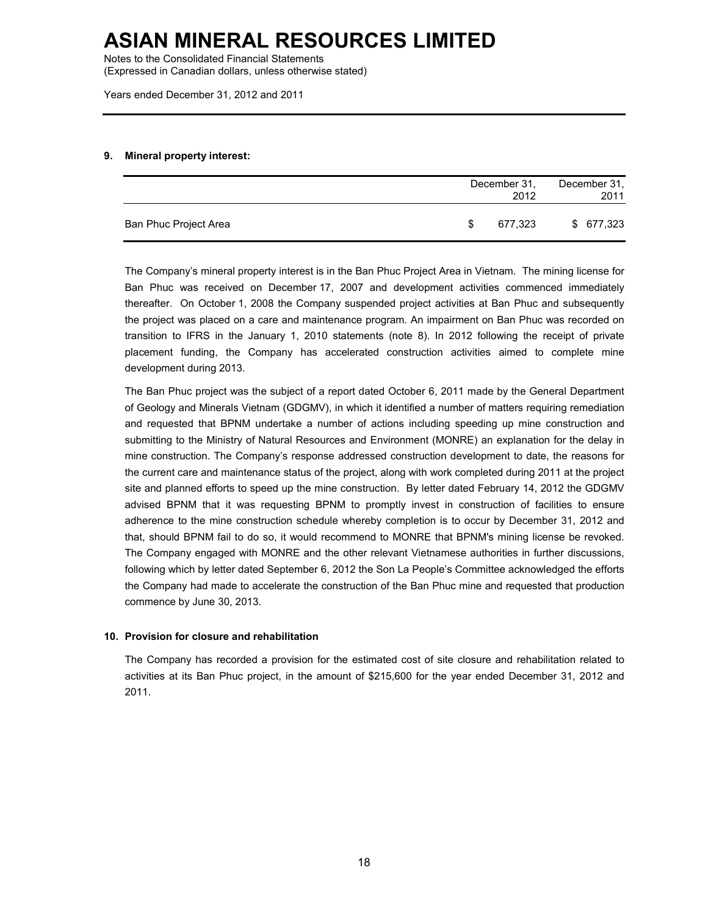Notes to the Consolidated Financial Statements

(Expressed in Canadian dollars, unless otherwise stated)

Years ended December 31, 2012 and 2011

#### **9. Mineral property interest:**

|                       | December 31,<br>2012 | December 31,<br>2011 |
|-----------------------|----------------------|----------------------|
| Ban Phuc Project Area | 677.323              | \$ 677,323           |

The Company's mineral property interest is in the Ban Phuc Project Area in Vietnam. The mining license for Ban Phuc was received on December 17, 2007 and development activities commenced immediately thereafter. On October 1, 2008 the Company suspended project activities at Ban Phuc and subsequently the project was placed on a care and maintenance program. An impairment on Ban Phuc was recorded on transition to IFRS in the January 1, 2010 statements (note 8). In 2012 following the receipt of private placement funding, the Company has accelerated construction activities aimed to complete mine development during 2013.

The Ban Phuc project was the subject of a report dated October 6, 2011 made by the General Department of Geology and Minerals Vietnam (GDGMV), in which it identified a number of matters requiring remediation and requested that BPNM undertake a number of actions including speeding up mine construction and submitting to the Ministry of Natural Resources and Environment (MONRE) an explanation for the delay in mine construction. The Company's response addressed construction development to date, the reasons for the current care and maintenance status of the project, along with work completed during 2011 at the project site and planned efforts to speed up the mine construction. By letter dated February 14, 2012 the GDGMV advised BPNM that it was requesting BPNM to promptly invest in construction of facilities to ensure adherence to the mine construction schedule whereby completion is to occur by December 31, 2012 and that, should BPNM fail to do so, it would recommend to MONRE that BPNM's mining license be revoked. The Company engaged with MONRE and the other relevant Vietnamese authorities in further discussions, following which by letter dated September 6, 2012 the Son La People's Committee acknowledged the efforts the Company had made to accelerate the construction of the Ban Phuc mine and requested that production commence by June 30, 2013.

### **10. Provision for closure and rehabilitation**

The Company has recorded a provision for the estimated cost of site closure and rehabilitation related to activities at its Ban Phuc project, in the amount of \$215,600 for the year ended December 31, 2012 and 2011.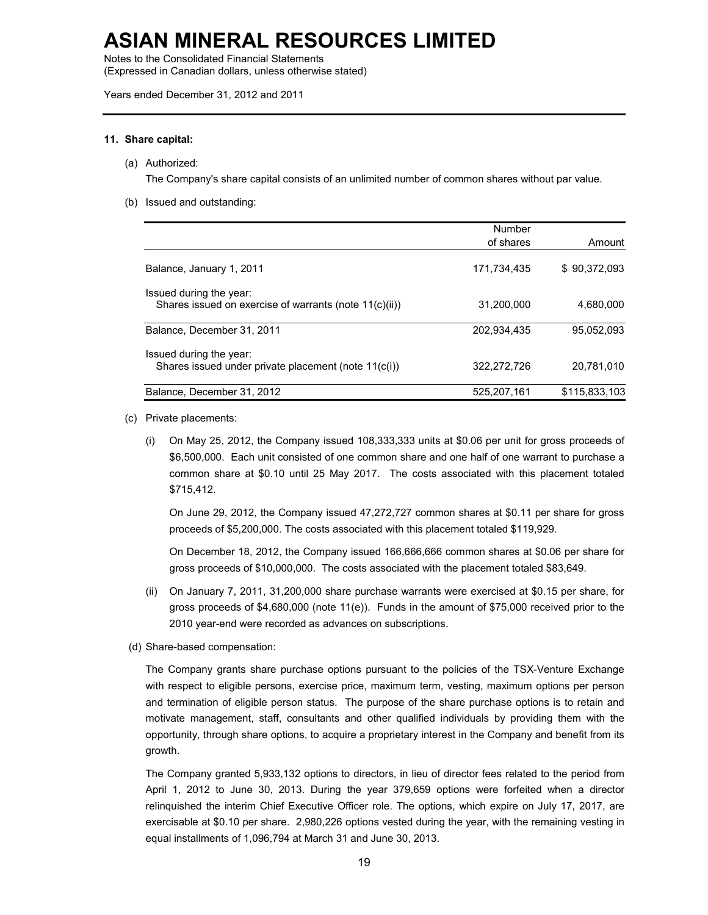Notes to the Consolidated Financial Statements

(Expressed in Canadian dollars, unless otherwise stated)

Years ended December 31, 2012 and 2011

#### **11. Share capital:**

#### (a) Authorized:

The Company's share capital consists of an unlimited number of common shares without par value.

#### (b) Issued and outstanding:

|                                                                                   | Number      |               |
|-----------------------------------------------------------------------------------|-------------|---------------|
|                                                                                   | of shares   | Amount        |
| Balance, January 1, 2011                                                          | 171.734.435 | \$90.372.093  |
| Issued during the year:<br>Shares issued on exercise of warrants (note 11(c)(ii)) | 31.200.000  | 4.680.000     |
| Balance, December 31, 2011                                                        | 202.934.435 | 95.052.093    |
| Issued during the year:<br>Shares issued under private placement (note 11(c(i))   | 322.272.726 | 20.781.010    |
| Balance, December 31, 2012                                                        | 525.207.161 | \$115,833,103 |

#### (c) Private placements:

(i) On May 25, 2012, the Company issued 108,333,333 units at \$0.06 per unit for gross proceeds of \$6,500,000. Each unit consisted of one common share and one half of one warrant to purchase a common share at \$0.10 until 25 May 2017. The costs associated with this placement totaled \$715,412.

On June 29, 2012, the Company issued 47,272,727 common shares at \$0.11 per share for gross proceeds of \$5,200,000. The costs associated with this placement totaled \$119,929.

On December 18, 2012, the Company issued 166,666,666 common shares at \$0.06 per share for gross proceeds of \$10,000,000. The costs associated with the placement totaled \$83,649.

- (ii) On January 7, 2011, 31,200,000 share purchase warrants were exercised at \$0.15 per share, for gross proceeds of \$4,680,000 (note 11(e)). Funds in the amount of \$75,000 received prior to the 2010 year-end were recorded as advances on subscriptions.
- (d) Share-based compensation:

The Company grants share purchase options pursuant to the policies of the TSX-Venture Exchange with respect to eligible persons, exercise price, maximum term, vesting, maximum options per person and termination of eligible person status. The purpose of the share purchase options is to retain and motivate management, staff, consultants and other qualified individuals by providing them with the opportunity, through share options, to acquire a proprietary interest in the Company and benefit from its growth.

The Company granted 5,933,132 options to directors, in lieu of director fees related to the period from April 1, 2012 to June 30, 2013. During the year 379,659 options were forfeited when a director relinquished the interim Chief Executive Officer role. The options, which expire on July 17, 2017, are exercisable at \$0.10 per share. 2,980,226 options vested during the year, with the remaining vesting in equal installments of 1,096,794 at March 31 and June 30, 2013.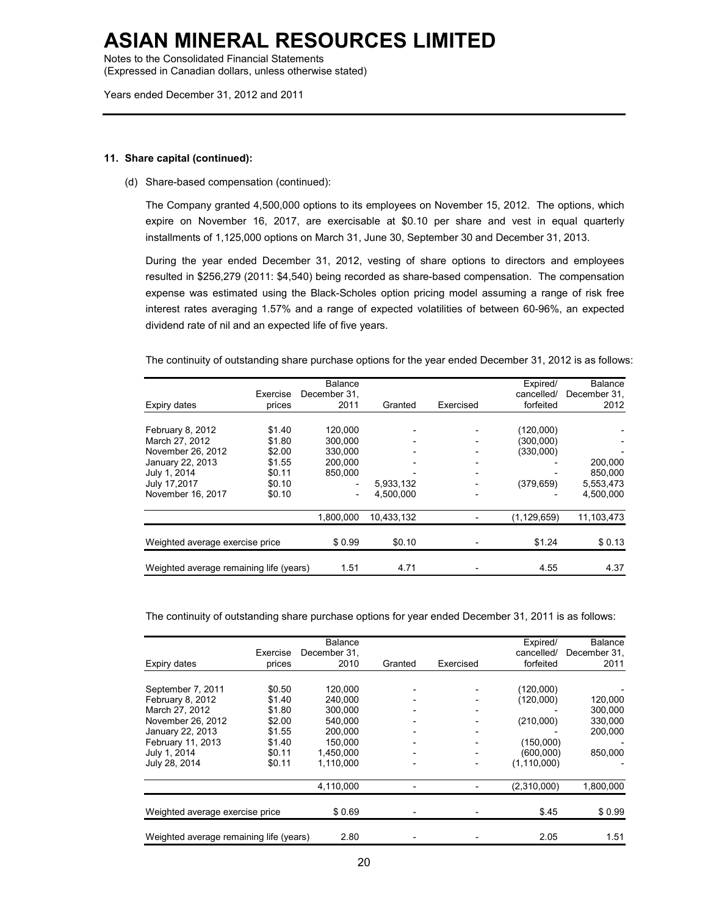Notes to the Consolidated Financial Statements (Expressed in Canadian dollars, unless otherwise stated)

Years ended December 31, 2012 and 2011

#### **11. Share capital (continued):**

(d) Share-based compensation (continued):

The Company granted 4,500,000 options to its employees on November 15, 2012. The options, which expire on November 16, 2017, are exercisable at \$0.10 per share and vest in equal quarterly installments of 1,125,000 options on March 31, June 30, September 30 and December 31, 2013.

During the year ended December 31, 2012, vesting of share options to directors and employees resulted in \$256,279 (2011: \$4,540) being recorded as share-based compensation. The compensation expense was estimated using the Black-Scholes option pricing model assuming a range of risk free interest rates averaging 1.57% and a range of expected volatilities of between 60-96%, an expected dividend rate of nil and an expected life of five years.

The continuity of outstanding share purchase options for the year ended December 31, 2012 is as follows:

| Expiry dates                            | Exercise<br>prices | <b>Balance</b><br>December 31.<br>2011 | Granted    | Exercised | Expired/<br>cancelled/<br>forfeited | <b>Balance</b><br>December 31,<br>2012 |
|-----------------------------------------|--------------------|----------------------------------------|------------|-----------|-------------------------------------|----------------------------------------|
|                                         |                    |                                        |            |           |                                     |                                        |
| February 8, 2012<br>March 27, 2012      | \$1.40<br>\$1.80   | 120.000<br>300.000                     |            |           | (120,000)<br>(300,000)              |                                        |
| November 26, 2012                       | \$2.00             | 330.000                                |            |           | (330,000)                           |                                        |
| January 22, 2013                        | \$1.55             | 200.000                                |            |           |                                     | 200.000                                |
| July 1, 2014                            | \$0.11             | 850.000                                |            |           |                                     | 850.000                                |
| July 17,2017                            | \$0.10             | $\overline{\phantom{0}}$               | 5,933,132  |           | (379, 659)                          | 5,553,473                              |
| November 16, 2017                       | \$0.10             | $\overline{\phantom{0}}$               | 4.500.000  |           |                                     | 4.500.000                              |
|                                         |                    | 1,800,000                              | 10.433.132 |           | (1, 129, 659)                       | 11,103,473                             |
| Weighted average exercise price         |                    | \$0.99                                 | \$0.10     |           | \$1.24                              | \$0.13                                 |
| Weighted average remaining life (years) |                    | 1.51                                   | 4.71       |           | 4.55                                | 4.37                                   |

The continuity of outstanding share purchase options for year ended December 31, 2011 is as follows:

|                                         | Exercise | <b>Balance</b><br>December 31. |         |           | Expired/<br>cancelled/ | Balance<br>December 31. |
|-----------------------------------------|----------|--------------------------------|---------|-----------|------------------------|-------------------------|
| Expiry dates                            | prices   | 2010                           | Granted | Exercised | forfeited              | 2011                    |
|                                         |          |                                |         |           |                        |                         |
| September 7, 2011                       | \$0.50   | 120.000                        |         |           | (120,000)              |                         |
| February 8, 2012                        | \$1.40   | 240.000                        |         |           | (120,000)              | 120,000                 |
| March 27, 2012                          | \$1.80   | 300,000                        |         |           |                        | 300,000                 |
| November 26, 2012                       | \$2.00   | 540.000                        |         |           | (210,000)              | 330,000                 |
| January 22, 2013                        | \$1.55   | 200,000                        |         |           |                        | 200,000                 |
| February 11, 2013                       | \$1.40   | 150.000                        |         |           | (150.000)              |                         |
| July 1, 2014                            | \$0.11   | 1.450.000                      |         |           | (600.000)              | 850,000                 |
| July 28, 2014                           | \$0.11   | 1,110,000                      |         |           | (1, 110, 000)          |                         |
|                                         |          | 4,110,000                      |         |           | (2,310,000)            | 1,800,000               |
| Weighted average exercise price         |          | \$0.69                         |         |           | \$.45                  | \$0.99                  |
| Weighted average remaining life (years) |          | 2.80                           |         |           | 2.05                   | 1.51                    |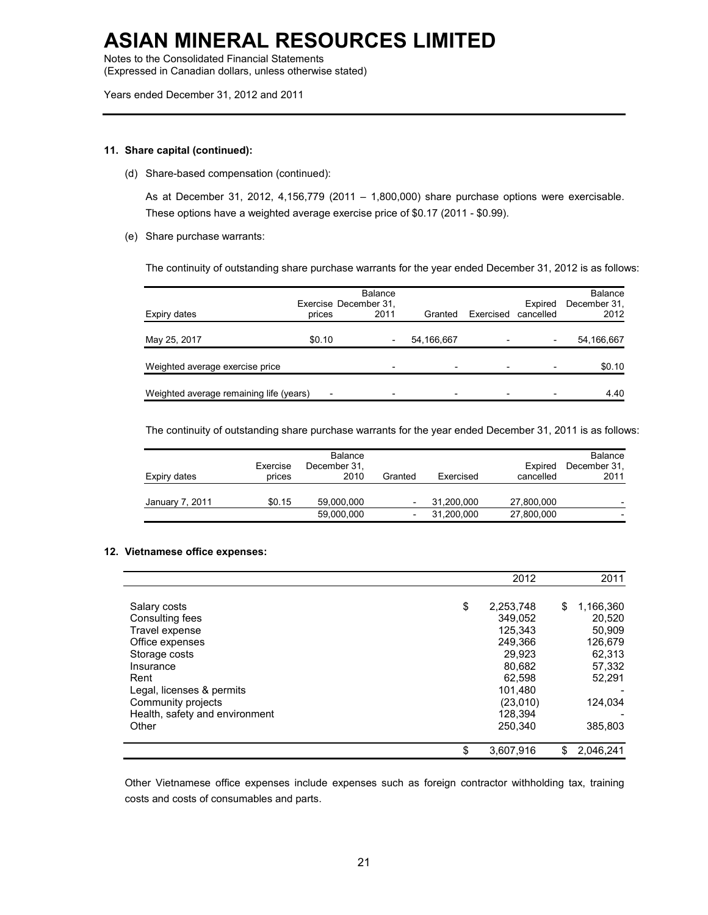Notes to the Consolidated Financial Statements

(Expressed in Canadian dollars, unless otherwise stated)

Years ended December 31, 2012 and 2011

#### **11. Share capital (continued):**

(d) Share-based compensation (continued):

As at December 31, 2012, 4,156,779 (2011 – 1,800,000) share purchase options were exercisable. These options have a weighted average exercise price of \$0.17 (2011 - \$0.99).

(e) Share purchase warrants:

The continuity of outstanding share purchase warrants for the year ended December 31, 2012 is as follows:

|                                         |                          | Balance<br>Exercise December 31. |                          |           | Expired   | <b>Balance</b><br>December 31, |
|-----------------------------------------|--------------------------|----------------------------------|--------------------------|-----------|-----------|--------------------------------|
| Expiry dates                            | prices                   | 2011                             | Granted                  | Exercised | cancelled | 2012                           |
|                                         |                          |                                  |                          |           |           |                                |
| May 25, 2017                            | \$0.10                   |                                  | 54,166,667               |           |           | 54,166,667                     |
|                                         |                          |                                  |                          |           |           |                                |
| Weighted average exercise price         |                          |                                  |                          |           |           | \$0.10                         |
|                                         |                          |                                  |                          |           |           |                                |
| Weighted average remaining life (years) | $\overline{\phantom{0}}$ | $\overline{\phantom{0}}$         | $\overline{\phantom{0}}$ |           |           | 4.40                           |

The continuity of outstanding share purchase warrants for the year ended December 31, 2011 is as follows:

| Expiry dates    | Exercise<br>prices | Balance<br>December 31,<br>2010 | Granted | Exercised                | Expired<br>cancelled     | Balance<br>December 31,<br>2011 |
|-----------------|--------------------|---------------------------------|---------|--------------------------|--------------------------|---------------------------------|
| January 7, 2011 | \$0.15             | 59.000.000<br>59,000,000        |         | 31.200.000<br>31,200,000 | 27.800.000<br>27,800,000 | $\overline{\phantom{0}}$        |

#### **12. Vietnamese office expenses:**

 $\overline{a}$ 

L.

|                                | 2012            |    | 2011      |
|--------------------------------|-----------------|----|-----------|
| Salary costs                   | \$<br>2,253,748 | \$ | 1,166,360 |
| Consulting fees                | 349.052         |    | 20,520    |
| Travel expense                 | 125.343         |    | 50,909    |
| Office expenses                | 249.366         |    | 126,679   |
| Storage costs                  | 29.923          |    | 62.313    |
| Insurance                      | 80.682          |    | 57,332    |
| Rent                           | 62,598          |    | 52,291    |
| Legal, licenses & permits      | 101,480         |    |           |
| Community projects             | (23,010)        |    | 124,034   |
| Health, safety and environment | 128.394         |    |           |
| Other                          | 250.340         |    | 385,803   |
|                                | \$<br>3.607.916 | S  | 2.046.241 |

Other Vietnamese office expenses include expenses such as foreign contractor withholding tax, training costs and costs of consumables and parts.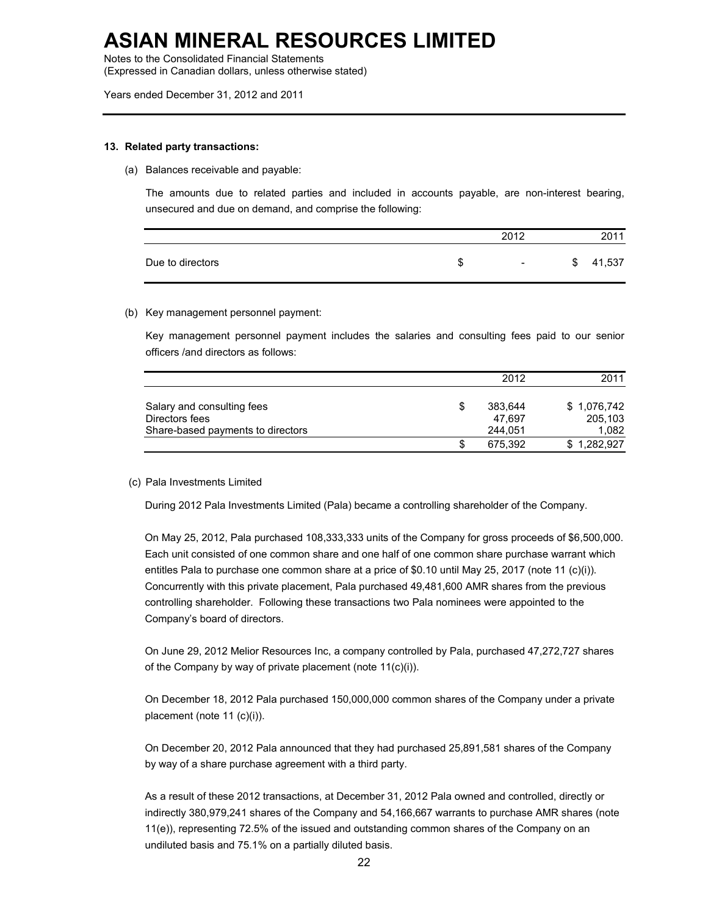Notes to the Consolidated Financial Statements

(Expressed in Canadian dollars, unless otherwise stated)

Years ended December 31, 2012 and 2011

#### **13. Related party transactions:**

(a) Balances receivable and payable:

The amounts due to related parties and included in accounts payable, are non-interest bearing, unsecured and due on demand, and comprise the following:

|                  |      | 2012                     | 2011         |
|------------------|------|--------------------------|--------------|
| Due to directors | - 13 | $\overline{\phantom{a}}$ | 41,537<br>S. |

#### (b) Key management personnel payment:

Key management personnel payment includes the salaries and consulting fees paid to our senior officers /and directors as follows:

|                                              | 2012              | 2011                   |
|----------------------------------------------|-------------------|------------------------|
| Salary and consulting fees<br>Directors fees | 383.644<br>47.697 | \$1,076,742<br>205,103 |
| Share-based payments to directors            | 244.051           | 1,082                  |
|                                              | 675.392           | \$1,282,927            |

#### (c) Pala Investments Limited

During 2012 Pala Investments Limited (Pala) became a controlling shareholder of the Company.

On May 25, 2012, Pala purchased 108,333,333 units of the Company for gross proceeds of \$6,500,000. Each unit consisted of one common share and one half of one common share purchase warrant which entitles Pala to purchase one common share at a price of \$0.10 until May 25, 2017 (note 11 (c)(i)). Concurrently with this private placement, Pala purchased 49,481,600 AMR shares from the previous controlling shareholder. Following these transactions two Pala nominees were appointed to the Company's board of directors.

On June 29, 2012 Melior Resources Inc, a company controlled by Pala, purchased 47,272,727 shares of the Company by way of private placement (note 11(c)(i)).

On December 18, 2012 Pala purchased 150,000,000 common shares of the Company under a private placement (note 11 (c)(i)).

On December 20, 2012 Pala announced that they had purchased 25,891,581 shares of the Company by way of a share purchase agreement with a third party.

As a result of these 2012 transactions, at December 31, 2012 Pala owned and controlled, directly or indirectly 380,979,241 shares of the Company and 54,166,667 warrants to purchase AMR shares (note 11(e)), representing 72.5% of the issued and outstanding common shares of the Company on an undiluted basis and 75.1% on a partially diluted basis.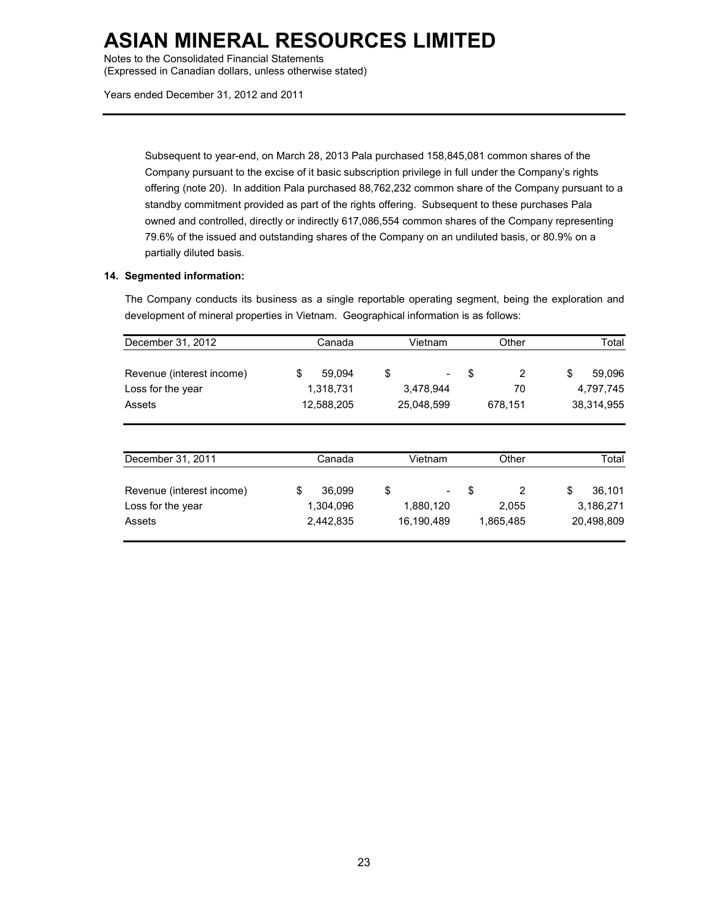Notes to the Consolidated Financial Statements (Expressed in Canadian dollars, unless otherwise stated)

Years ended December 31, 2012 and 2011

Subsequent to year-end, on March 28, 2013 Pala purchased 158,845,081 common shares of the Company pursuant to the excise of it basic subscription privilege in full under the Company's rights offering (note 20). In addition Pala purchased 88,762,232 common share of the Company pursuant to a standby commitment provided as part of the rights offering. Subsequent to these purchases Pala owned and controlled, directly or indirectly 617,086,554 common shares of the Company representing 79.6% of the issued and outstanding shares of the Company on an undiluted basis, or 80.9% on a partially diluted basis.

#### **14. Segmented information:**

The Company conducts its business as a single reportable operating segment, being the exploration and development of mineral properties in Vietnam. Geographical information is as follows:

| December 31, 2012         | Canada       | Vietnam    | Other     | Total        |
|---------------------------|--------------|------------|-----------|--------------|
| Revenue (interest income) | \$<br>59.094 | \$         | 2<br>\$   | \$<br>59,096 |
| Loss for the year         | 1,318,731    | 3,478,944  | 70        | 4,797,745    |
| Assets                    | 12,588,205   | 25,048,599 | 678,151   | 38,314,955   |
|                           |              |            |           |              |
| December 31, 2011         | Canada       | Vietnam    | Other     | Total        |
| Revenue (interest income) | \$<br>36.099 | \$         | 2<br>\$   | \$<br>36,101 |
| Loss for the year         | 1,304,096    | 1,880,120  | 2,055     | 3,186,271    |
| Assets                    | 2,442,835    | 16,190,489 | 1,865,485 | 20,498,809   |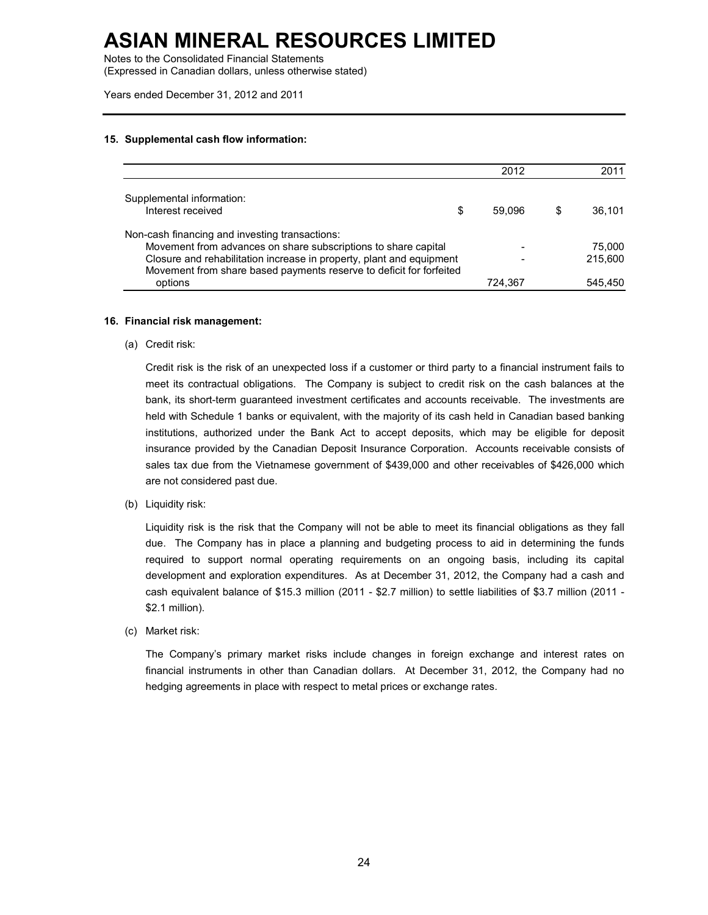Notes to the Consolidated Financial Statements

(Expressed in Canadian dollars, unless otherwise stated)

Years ended December 31, 2012 and 2011

#### **15. Supplemental cash flow information:**

|                                                                                                                                             | 2012         |   | 2011    |
|---------------------------------------------------------------------------------------------------------------------------------------------|--------------|---|---------|
| Supplemental information:<br>Interest received                                                                                              | \$<br>59.096 | S | 36.101  |
| Non-cash financing and investing transactions:                                                                                              |              |   |         |
| Movement from advances on share subscriptions to share capital                                                                              |              |   | 75.000  |
| Closure and rehabilitation increase in property, plant and equipment<br>Movement from share based payments reserve to deficit for forfeited |              |   | 215,600 |
| options                                                                                                                                     | 724,367      |   | 545.450 |

#### **16. Financial risk management:**

(a) Credit risk:

Credit risk is the risk of an unexpected loss if a customer or third party to a financial instrument fails to meet its contractual obligations. The Company is subject to credit risk on the cash balances at the bank, its short-term guaranteed investment certificates and accounts receivable. The investments are held with Schedule 1 banks or equivalent, with the majority of its cash held in Canadian based banking institutions, authorized under the Bank Act to accept deposits, which may be eligible for deposit insurance provided by the Canadian Deposit Insurance Corporation. Accounts receivable consists of sales tax due from the Vietnamese government of \$439,000 and other receivables of \$426,000 which are not considered past due.

(b) Liquidity risk:

Liquidity risk is the risk that the Company will not be able to meet its financial obligations as they fall due. The Company has in place a planning and budgeting process to aid in determining the funds required to support normal operating requirements on an ongoing basis, including its capital development and exploration expenditures. As at December 31, 2012, the Company had a cash and cash equivalent balance of \$15.3 million (2011 - \$2.7 million) to settle liabilities of \$3.7 million (2011 - \$2.1 million).

(c) Market risk:

The Company's primary market risks include changes in foreign exchange and interest rates on financial instruments in other than Canadian dollars. At December 31, 2012, the Company had no hedging agreements in place with respect to metal prices or exchange rates.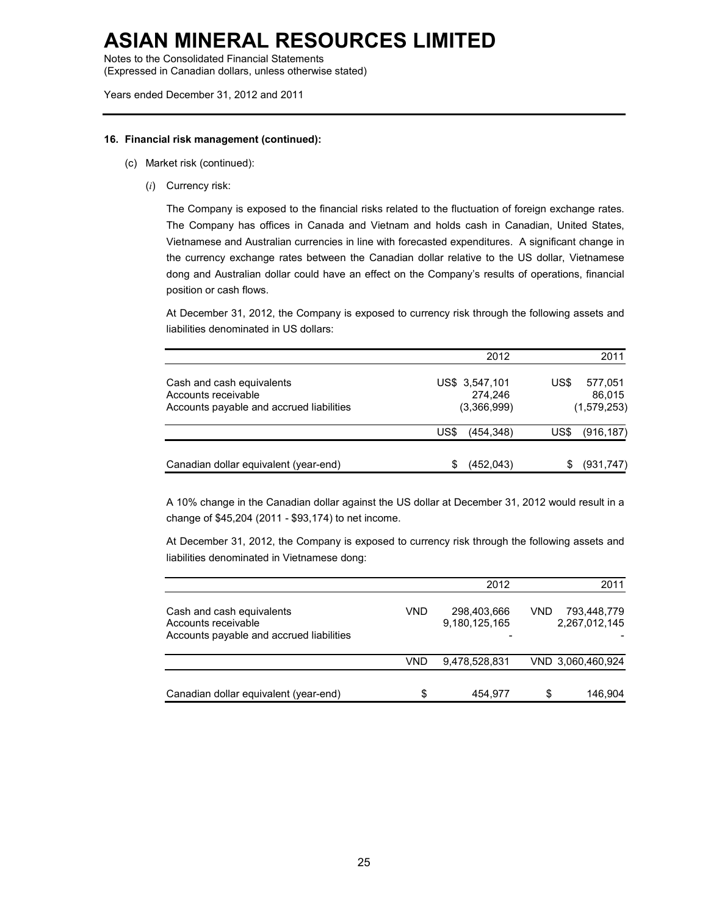Notes to the Consolidated Financial Statements

(Expressed in Canadian dollars, unless otherwise stated)

Years ended December 31, 2012 and 2011

#### **16. Financial risk management (continued):**

- (c) Market risk (continued):
	- (*i*) Currency risk:

The Company is exposed to the financial risks related to the fluctuation of foreign exchange rates. The Company has offices in Canada and Vietnam and holds cash in Canadian, United States, Vietnamese and Australian currencies in line with forecasted expenditures. A significant change in the currency exchange rates between the Canadian dollar relative to the US dollar, Vietnamese dong and Australian dollar could have an effect on the Company's results of operations, financial position or cash flows.

At December 31, 2012, the Company is exposed to currency risk through the following assets and liabilities denominated in US dollars:

|                                                                                              |      | 2012                                     |      | 2011                             |
|----------------------------------------------------------------------------------------------|------|------------------------------------------|------|----------------------------------|
| Cash and cash equivalents<br>Accounts receivable<br>Accounts payable and accrued liabilities |      | US\$ 3,547,101<br>274.246<br>(3,366,999) | US\$ | 577,051<br>86.015<br>(1,579,253) |
|                                                                                              | US\$ | (454, 348)                               | US\$ | (916, 187)                       |
| Canadian dollar equivalent (year-end)                                                        |      | (452,043)                                |      | (931, 747)                       |

A 10% change in the Canadian dollar against the US dollar at December 31, 2012 would result in a change of \$45,204 (2011 - \$93,174) to net income.

At December 31, 2012, the Company is exposed to currency risk through the following assets and liabilities denominated in Vietnamese dong:

|                                                                                              |     | 2012                         |     | 2011                         |
|----------------------------------------------------------------------------------------------|-----|------------------------------|-----|------------------------------|
| Cash and cash equivalents<br>Accounts receivable<br>Accounts payable and accrued liabilities | VND | 298,403,666<br>9,180,125,165 | VND | 793,448,779<br>2,267,012,145 |
|                                                                                              | VND | 9,478,528,831                |     | VND 3,060,460,924            |
| Canadian dollar equivalent (year-end)                                                        | \$  | 454.977                      | \$  | 146,904                      |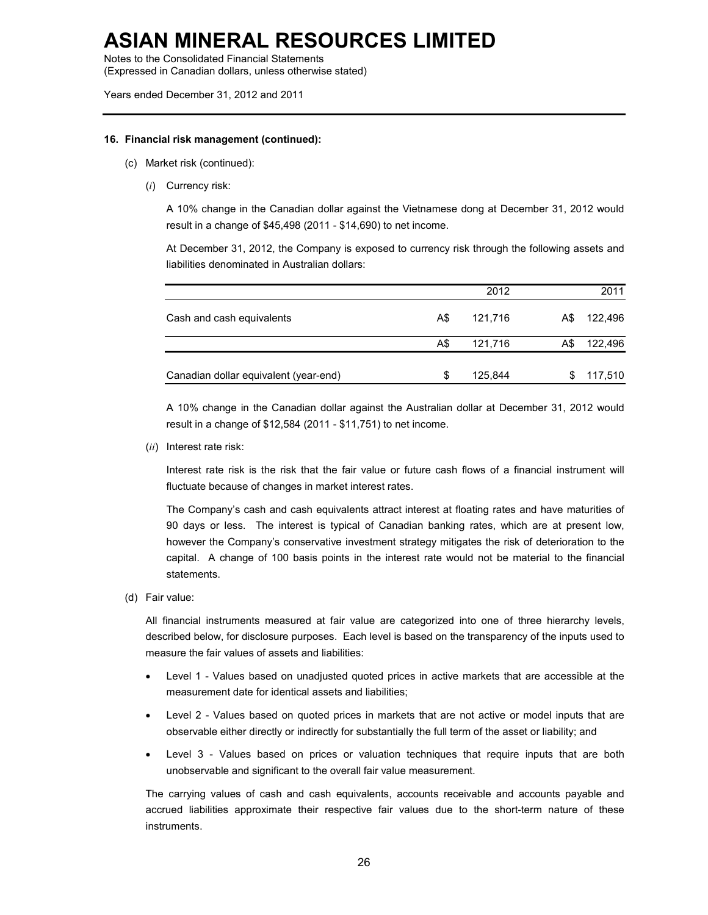Notes to the Consolidated Financial Statements

(Expressed in Canadian dollars, unless otherwise stated)

Years ended December 31, 2012 and 2011

#### **16. Financial risk management (continued):**

- (c) Market risk (continued):
	- (*i*) Currency risk:

A 10% change in the Canadian dollar against the Vietnamese dong at December 31, 2012 would result in a change of \$45,498 (2011 - \$14,690) to net income.

At December 31, 2012, the Company is exposed to currency risk through the following assets and liabilities denominated in Australian dollars:

|                                       |     | 2012    |     | 2011    |
|---------------------------------------|-----|---------|-----|---------|
| Cash and cash equivalents             | A\$ | 121.716 | A\$ | 122,496 |
|                                       | A\$ | 121,716 | A\$ | 122,496 |
| Canadian dollar equivalent (year-end) | S   | 125.844 | S   | 117,510 |

A 10% change in the Canadian dollar against the Australian dollar at December 31, 2012 would result in a change of \$12,584 (2011 - \$11,751) to net income.

(*ii*) Interest rate risk:

Interest rate risk is the risk that the fair value or future cash flows of a financial instrument will fluctuate because of changes in market interest rates.

The Company's cash and cash equivalents attract interest at floating rates and have maturities of 90 days or less. The interest is typical of Canadian banking rates, which are at present low, however the Company's conservative investment strategy mitigates the risk of deterioration to the capital. A change of 100 basis points in the interest rate would not be material to the financial statements.

(d) Fair value:

All financial instruments measured at fair value are categorized into one of three hierarchy levels, described below, for disclosure purposes. Each level is based on the transparency of the inputs used to measure the fair values of assets and liabilities:

- Level 1 Values based on unadjusted quoted prices in active markets that are accessible at the measurement date for identical assets and liabilities;
- Level 2 Values based on quoted prices in markets that are not active or model inputs that are observable either directly or indirectly for substantially the full term of the asset or liability; and
- Level 3 Values based on prices or valuation techniques that require inputs that are both unobservable and significant to the overall fair value measurement.

The carrying values of cash and cash equivalents, accounts receivable and accounts payable and accrued liabilities approximate their respective fair values due to the short-term nature of these instruments.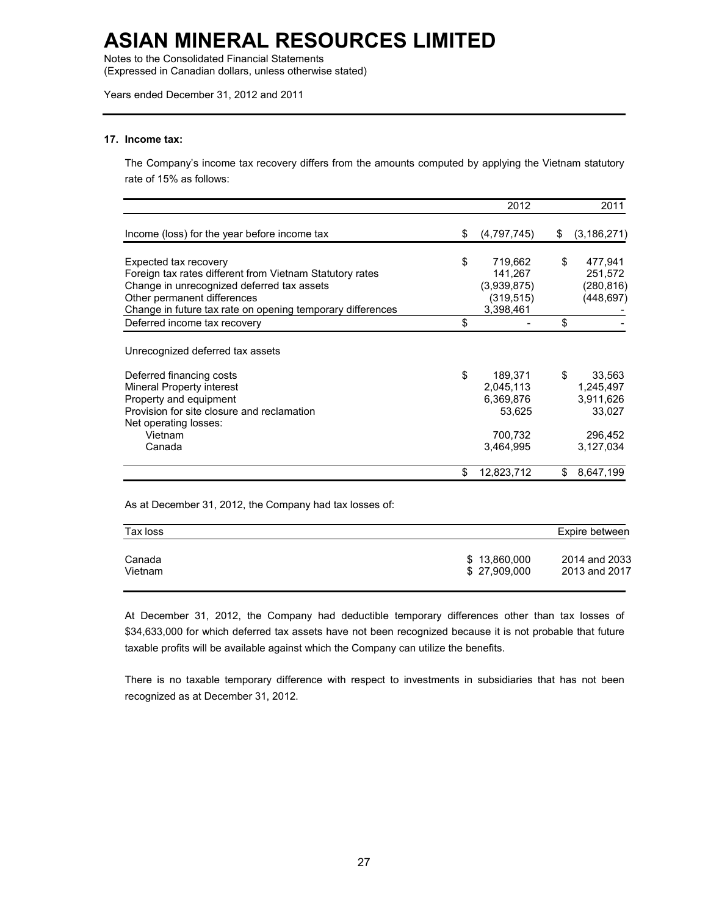Notes to the Consolidated Financial Statements

(Expressed in Canadian dollars, unless otherwise stated)

Years ended December 31, 2012 and 2011

#### **17. Income tax:**

The Company's income tax recovery differs from the amounts computed by applying the Vietnam statutory rate of 15% as follows:

|                                                                                                                                                                                                                              | 2012                                                               | 2011                                                        |
|------------------------------------------------------------------------------------------------------------------------------------------------------------------------------------------------------------------------------|--------------------------------------------------------------------|-------------------------------------------------------------|
| Income (loss) for the year before income tax                                                                                                                                                                                 | \$<br>(4,797,745)                                                  | \$<br>(3, 186, 271)                                         |
| Expected tax recovery<br>Foreign tax rates different from Vietnam Statutory rates<br>Change in unrecognized deferred tax assets<br>Other permanent differences<br>Change in future tax rate on opening temporary differences | \$<br>719,662<br>141,267<br>(3.939.875)<br>(319, 515)<br>3,398,461 | \$<br>477,941<br>251,572<br>(280, 816)<br>(448, 697)        |
| Deferred income tax recovery                                                                                                                                                                                                 | \$                                                                 | \$                                                          |
| Unrecognized deferred tax assets                                                                                                                                                                                             |                                                                    |                                                             |
| Deferred financing costs<br><b>Mineral Property interest</b><br>Property and equipment<br>Provision for site closure and reclamation<br>Net operating losses:<br>Vietnam                                                     | \$<br>189,371<br>2,045,113<br>6,369,876<br>53,625<br>700,732       | \$<br>33,563<br>1,245,497<br>3,911,626<br>33,027<br>296,452 |
| Canada                                                                                                                                                                                                                       | 3,464,995                                                          | 3,127,034                                                   |
|                                                                                                                                                                                                                              | \$<br>12,823,712                                                   | \$<br>8,647,199                                             |

As at December 31, 2012, the Company had tax losses of:

| Tax loss |               | Expire between |
|----------|---------------|----------------|
| Canada   | \$13,860,000  | 2014 and 2033  |
| Vietnam  | \$ 27,909,000 | 2013 and 2017  |

At December 31, 2012, the Company had deductible temporary differences other than tax losses of \$34,633,000 for which deferred tax assets have not been recognized because it is not probable that future taxable profits will be available against which the Company can utilize the benefits.

There is no taxable temporary difference with respect to investments in subsidiaries that has not been recognized as at December 31, 2012.